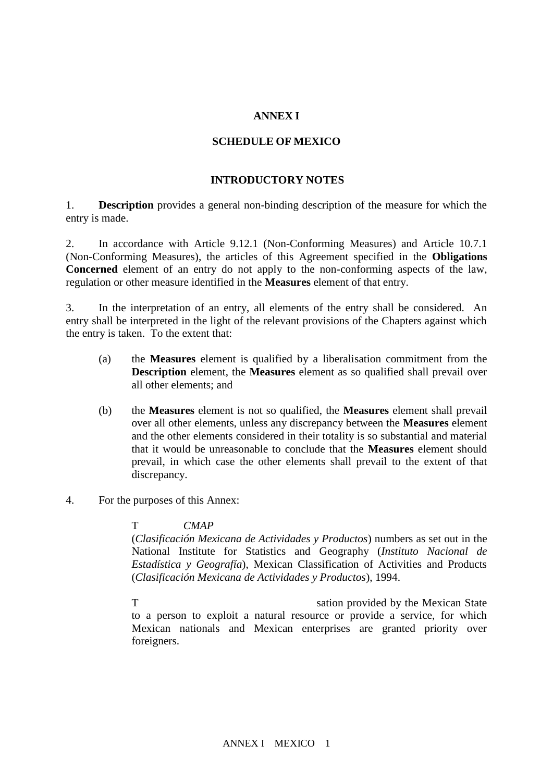# **ANNEX I**

### **SCHEDULE OF MEXICO**

### **INTRODUCTORY NOTES**

1. **Description** provides a general non-binding description of the measure for which the entry is made.

2. In accordance with Article 9.12.1 (Non-Conforming Measures) and Article 10.7.1 (Non-Conforming Measures), the articles of this Agreement specified in the **Obligations Concerned** element of an entry do not apply to the non-conforming aspects of the law, regulation or other measure identified in the **Measures** element of that entry.

3. In the interpretation of an entry, all elements of the entry shall be considered. An entry shall be interpreted in the light of the relevant provisions of the Chapters against which the entry is taken. To the extent that:

- (a) the **Measures** element is qualified by a liberalisation commitment from the **Description** element, the **Measures** element as so qualified shall prevail over all other elements; and
- (b) the **Measures** element is not so qualified, the **Measures** element shall prevail over all other elements, unless any discrepancy between the **Measures** element and the other elements considered in their totality is so substantial and material that it would be unreasonable to conclude that the **Measures** element should prevail, in which case the other elements shall prevail to the extent of that discrepancy.
- 4. For the purposes of this Annex:

# The term  $CMAP$ <sup>"</sup> means  $CMAP$

(*Clasificación Mexicana de Actividades y Productos*) numbers as set out in the National Institute for Statistics and Geography (*Instituto Nacional de Estadística y Geografía*), Mexican Classification of Activities and Products (*Clasificación Mexicana de Actividades y Productos*), 1994.

The term of the term  $\alpha$  and  $\alpha$  and  $\alpha$  and  $\alpha$  and  $\alpha$  and  $\alpha$  and  $\alpha$  and  $\alpha$  and  $\alpha$  and  $\alpha$  and  $\alpha$  and  $\alpha$  and  $\alpha$  and  $\alpha$  and  $\alpha$  and  $\alpha$  and  $\alpha$  and  $\alpha$  and  $\alpha$  and  $\alpha$  and  $\alpha$  and  $\alpha$  and  $\alpha$ to a person to exploit a natural resource or provide a service, for which Mexican nationals and Mexican enterprises are granted priority over foreigners.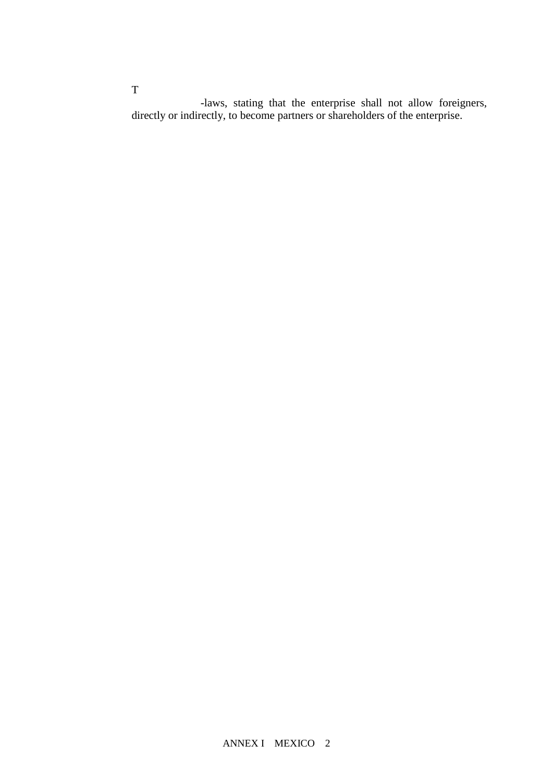-laws, stating that the enterprise shall not allow foreigners, directly or indirectly, to become partners or shareholders of the enterprise.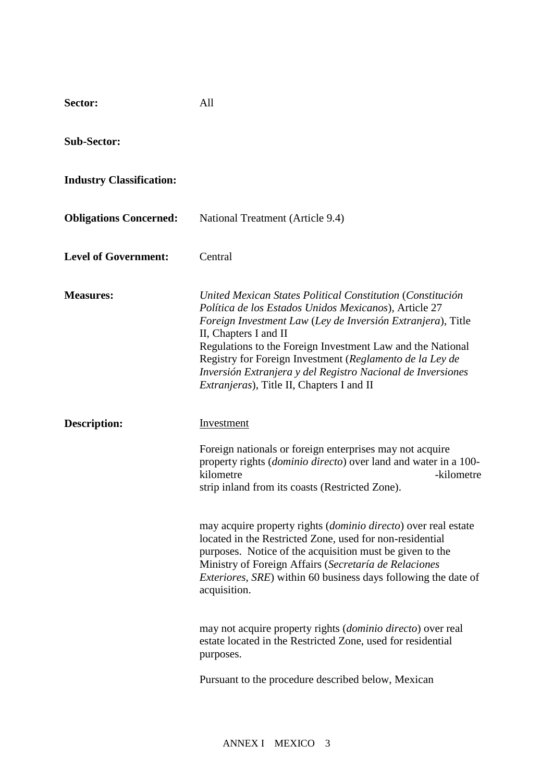| Sector:                         | All                                                                                                                                                                                                                                                                                                                                                                                                                                                       |
|---------------------------------|-----------------------------------------------------------------------------------------------------------------------------------------------------------------------------------------------------------------------------------------------------------------------------------------------------------------------------------------------------------------------------------------------------------------------------------------------------------|
| <b>Sub-Sector:</b>              |                                                                                                                                                                                                                                                                                                                                                                                                                                                           |
| <b>Industry Classification:</b> |                                                                                                                                                                                                                                                                                                                                                                                                                                                           |
| <b>Obligations Concerned:</b>   | National Treatment (Article 9.4)                                                                                                                                                                                                                                                                                                                                                                                                                          |
| <b>Level of Government:</b>     | Central                                                                                                                                                                                                                                                                                                                                                                                                                                                   |
| <b>Measures:</b>                | United Mexican States Political Constitution (Constitución<br>Política de los Estados Unidos Mexicanos), Article 27<br>Foreign Investment Law (Ley de Inversión Extranjera), Title<br>II, Chapters I and II<br>Regulations to the Foreign Investment Law and the National<br>Registry for Foreign Investment (Reglamento de la Ley de<br>Inversión Extranjera y del Registro Nacional de Inversiones<br><i>Extranjeras</i> ), Title II, Chapters I and II |
| Description:                    | Investment                                                                                                                                                                                                                                                                                                                                                                                                                                                |
|                                 | Foreign nationals or foreign enterprises may not acquire<br>property rights ( <i>dominio directo</i> ) over land and water in a 100-<br>kilometre<br>-kilometre<br>strip inland from its coasts (Restricted Zone).                                                                                                                                                                                                                                        |
|                                 | may acquire property rights ( <i>dominio directo</i> ) over real estate<br>located in the Restricted Zone, used for non-residential<br>purposes. Notice of the acquisition must be given to the<br>Ministry of Foreign Affairs (Secretaría de Relaciones<br><i>Exteriores, SRE</i> ) within 60 business days following the date of<br>acquisition.                                                                                                        |
|                                 | may not acquire property rights ( <i>dominio directo</i> ) over real<br>estate located in the Restricted Zone, used for residential<br>purposes.                                                                                                                                                                                                                                                                                                          |
|                                 |                                                                                                                                                                                                                                                                                                                                                                                                                                                           |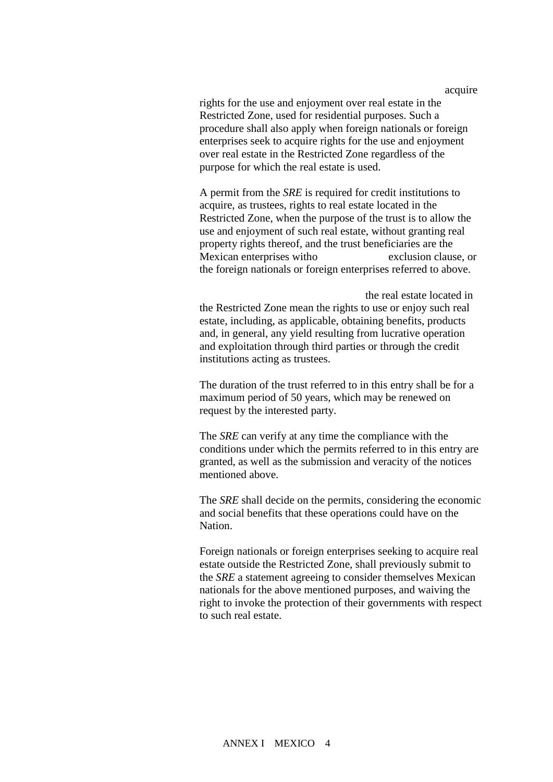acquire

rights for the use and enjoyment over real estate in the Restricted Zone, used for residential purposes. Such a procedure shall also apply when foreign nationals or foreign enterprises seek to acquire rights for the use and enjoyment over real estate in the Restricted Zone regardless of the purpose for which the real estate is used.

A permit from the *SRE* is required for credit institutions to acquire, as trustees, rights to real estate located in the Restricted Zone, when the purpose of the trust is to allow the use and enjoyment of such real estate, without granting real property rights thereof, and the trust beneficiaries are the Mexican enterprises without a foreign exclusion clause, or the foreign nationals or foreign enterprises referred to above.

the real estate located in the Restricted Zone mean the rights to use or enjoy such real estate, including, as applicable, obtaining benefits, products and, in general, any yield resulting from lucrative operation and exploitation through third parties or through the credit institutions acting as trustees.

The duration of the trust referred to in this entry shall be for a maximum period of 50 years, which may be renewed on request by the interested party.

The *SRE* can verify at any time the compliance with the conditions under which the permits referred to in this entry are granted, as well as the submission and veracity of the notices mentioned above.

The *SRE* shall decide on the permits, considering the economic and social benefits that these operations could have on the Nation.

Foreign nationals or foreign enterprises seeking to acquire real estate outside the Restricted Zone, shall previously submit to the *SRE* a statement agreeing to consider themselves Mexican nationals for the above mentioned purposes, and waiving the right to invoke the protection of their governments with respect to such real estate.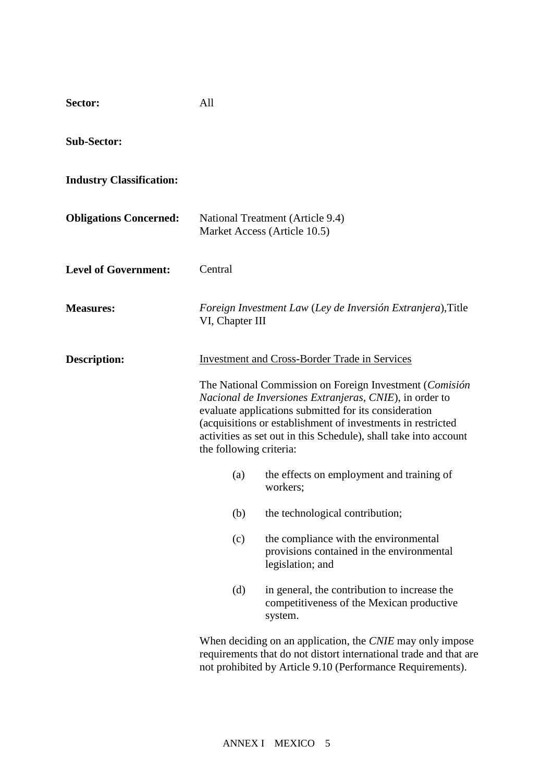| Sector:                         | All                            |                                                                                                                                                                                                                                                                                                                                                                                                                     |
|---------------------------------|--------------------------------|---------------------------------------------------------------------------------------------------------------------------------------------------------------------------------------------------------------------------------------------------------------------------------------------------------------------------------------------------------------------------------------------------------------------|
| <b>Sub-Sector:</b>              |                                |                                                                                                                                                                                                                                                                                                                                                                                                                     |
| <b>Industry Classification:</b> |                                |                                                                                                                                                                                                                                                                                                                                                                                                                     |
| <b>Obligations Concerned:</b>   |                                | National Treatment (Article 9.4)<br>Market Access (Article 10.5)                                                                                                                                                                                                                                                                                                                                                    |
| <b>Level of Government:</b>     | Central                        |                                                                                                                                                                                                                                                                                                                                                                                                                     |
| <b>Measures:</b>                | VI, Chapter III                | Foreign Investment Law (Ley de Inversión Extranjera), Title                                                                                                                                                                                                                                                                                                                                                         |
| <b>Description:</b>             | the following criteria:<br>(a) | <b>Investment and Cross-Border Trade in Services</b><br>The National Commission on Foreign Investment (Comisión<br>Nacional de Inversiones Extranjeras, CNIE), in order to<br>evaluate applications submitted for its consideration<br>(acquisitions or establishment of investments in restricted<br>activities as set out in this Schedule), shall take into account<br>the effects on employment and training of |
|                                 | (b)<br>(c)<br>(d)              | workers;<br>the technological contribution;<br>the compliance with the environmental<br>provisions contained in the environmental<br>legislation; and<br>in general, the contribution to increase the<br>competitiveness of the Mexican productive<br>system.                                                                                                                                                       |
|                                 |                                | When deciding on an application, the CNIE may only impose<br>requirements that do not distort international trade and that are<br>not prohibited by Article 9.10 (Performance Requirements).                                                                                                                                                                                                                        |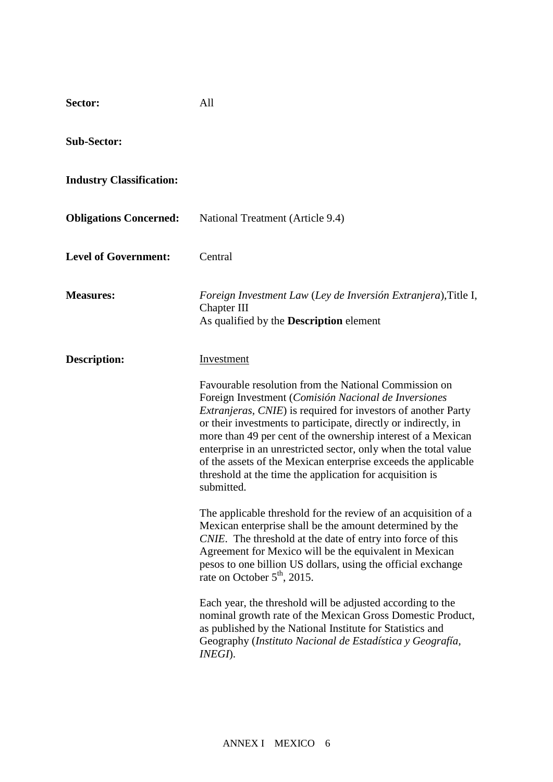| All                                                                                                                                                                                                                                                                                                                                                                                                                                                                                                                                                                                                                                                                                                                                                                                                                                                                                                                                                                                                                                                                                                                                                                                    |
|----------------------------------------------------------------------------------------------------------------------------------------------------------------------------------------------------------------------------------------------------------------------------------------------------------------------------------------------------------------------------------------------------------------------------------------------------------------------------------------------------------------------------------------------------------------------------------------------------------------------------------------------------------------------------------------------------------------------------------------------------------------------------------------------------------------------------------------------------------------------------------------------------------------------------------------------------------------------------------------------------------------------------------------------------------------------------------------------------------------------------------------------------------------------------------------|
|                                                                                                                                                                                                                                                                                                                                                                                                                                                                                                                                                                                                                                                                                                                                                                                                                                                                                                                                                                                                                                                                                                                                                                                        |
|                                                                                                                                                                                                                                                                                                                                                                                                                                                                                                                                                                                                                                                                                                                                                                                                                                                                                                                                                                                                                                                                                                                                                                                        |
| National Treatment (Article 9.4)                                                                                                                                                                                                                                                                                                                                                                                                                                                                                                                                                                                                                                                                                                                                                                                                                                                                                                                                                                                                                                                                                                                                                       |
| Central                                                                                                                                                                                                                                                                                                                                                                                                                                                                                                                                                                                                                                                                                                                                                                                                                                                                                                                                                                                                                                                                                                                                                                                |
| Foreign Investment Law (Ley de Inversión Extranjera), Title I,<br>Chapter III<br>As qualified by the <b>Description</b> element                                                                                                                                                                                                                                                                                                                                                                                                                                                                                                                                                                                                                                                                                                                                                                                                                                                                                                                                                                                                                                                        |
| <b>Investment</b><br>Favourable resolution from the National Commission on<br>Foreign Investment (Comisión Nacional de Inversiones<br><i>Extranjeras, CNIE</i> ) is required for investors of another Party<br>or their investments to participate, directly or indirectly, in<br>more than 49 per cent of the ownership interest of a Mexican<br>enterprise in an unrestricted sector, only when the total value<br>of the assets of the Mexican enterprise exceeds the applicable<br>threshold at the time the application for acquisition is<br>submitted.<br>The applicable threshold for the review of an acquisition of a<br>Mexican enterprise shall be the amount determined by the<br>CNIE. The threshold at the date of entry into force of this<br>Agreement for Mexico will be the equivalent in Mexican<br>pesos to one billion US dollars, using the official exchange<br>rate on October $5th$ , 2015.<br>Each year, the threshold will be adjusted according to the<br>nominal growth rate of the Mexican Gross Domestic Product,<br>as published by the National Institute for Statistics and<br>Geography (Instituto Nacional de Estadística y Geografía,<br>INEGI). |
|                                                                                                                                                                                                                                                                                                                                                                                                                                                                                                                                                                                                                                                                                                                                                                                                                                                                                                                                                                                                                                                                                                                                                                                        |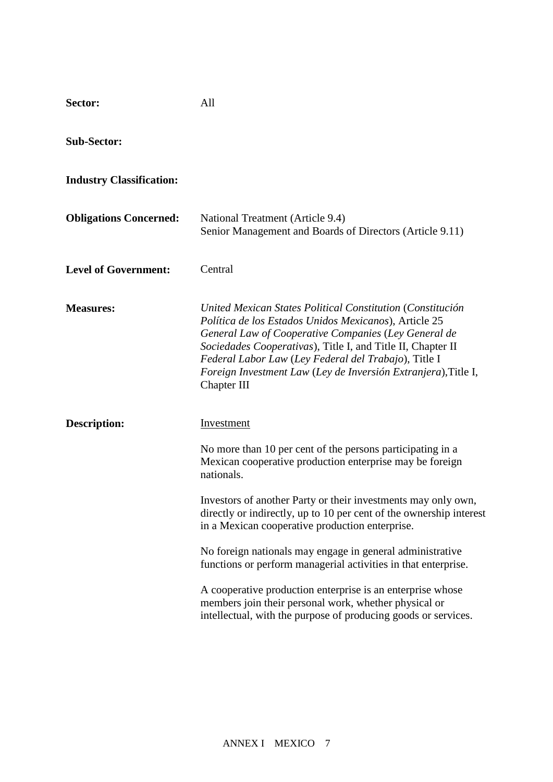| Sector:                         | All                                                                                                                                                                                                                                                                                                                                                                                                                                                                                                                                                                                                                                                                   |
|---------------------------------|-----------------------------------------------------------------------------------------------------------------------------------------------------------------------------------------------------------------------------------------------------------------------------------------------------------------------------------------------------------------------------------------------------------------------------------------------------------------------------------------------------------------------------------------------------------------------------------------------------------------------------------------------------------------------|
| <b>Sub-Sector:</b>              |                                                                                                                                                                                                                                                                                                                                                                                                                                                                                                                                                                                                                                                                       |
| <b>Industry Classification:</b> |                                                                                                                                                                                                                                                                                                                                                                                                                                                                                                                                                                                                                                                                       |
| <b>Obligations Concerned:</b>   | National Treatment (Article 9.4)<br>Senior Management and Boards of Directors (Article 9.11)                                                                                                                                                                                                                                                                                                                                                                                                                                                                                                                                                                          |
| <b>Level of Government:</b>     | Central                                                                                                                                                                                                                                                                                                                                                                                                                                                                                                                                                                                                                                                               |
| <b>Measures:</b>                | United Mexican States Political Constitution (Constitución<br>Política de los Estados Unidos Mexicanos), Article 25<br>General Law of Cooperative Companies (Ley General de<br>Sociedades Cooperativas), Title I, and Title II, Chapter II<br>Federal Labor Law (Ley Federal del Trabajo), Title I<br>Foreign Investment Law (Ley de Inversión Extranjera), Title I,<br>Chapter III                                                                                                                                                                                                                                                                                   |
| <b>Description:</b>             | Investment<br>No more than 10 per cent of the persons participating in a<br>Mexican cooperative production enterprise may be foreign<br>nationals.<br>Investors of another Party or their investments may only own,<br>directly or indirectly, up to 10 per cent of the ownership interest<br>in a Mexican cooperative production enterprise.<br>No foreign nationals may engage in general administrative<br>functions or perform managerial activities in that enterprise.<br>A cooperative production enterprise is an enterprise whose<br>members join their personal work, whether physical or<br>intellectual, with the purpose of producing goods or services. |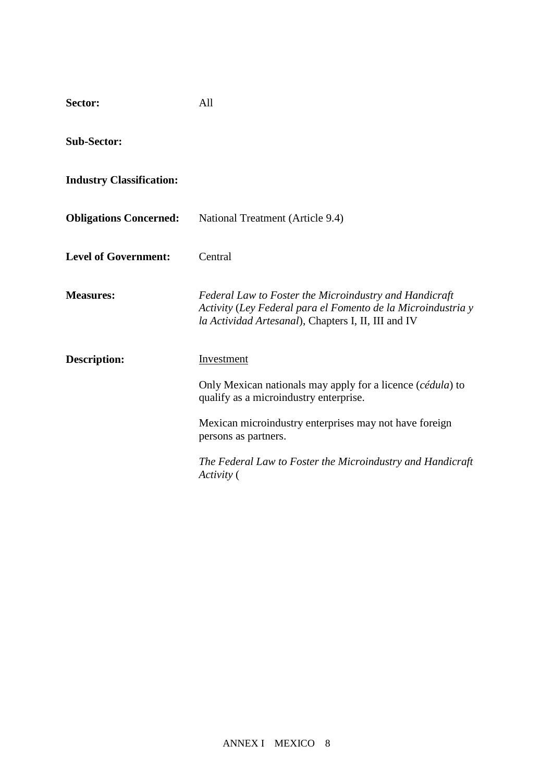| Sector:                         | All                                                                                                                                                                           |
|---------------------------------|-------------------------------------------------------------------------------------------------------------------------------------------------------------------------------|
| <b>Sub-Sector:</b>              |                                                                                                                                                                               |
| <b>Industry Classification:</b> |                                                                                                                                                                               |
| <b>Obligations Concerned:</b>   | National Treatment (Article 9.4)                                                                                                                                              |
| <b>Level of Government:</b>     | Central                                                                                                                                                                       |
| <b>Measures:</b>                | Federal Law to Foster the Microindustry and Handicraft<br>Activity (Ley Federal para el Fomento de la Microindustria y<br>la Actividad Artesanal), Chapters I, II, III and IV |
| <b>Description:</b>             | Investment                                                                                                                                                                    |
|                                 | Only Mexican nationals may apply for a licence ( <i>cédula</i> ) to<br>qualify as a microindustry enterprise.                                                                 |
|                                 | Mexican microindustry enterprises may not have foreign<br>persons as partners.                                                                                                |
|                                 | The Federal Law to Foster the Microindustry and Handicraft<br>Activity (                                                                                                      |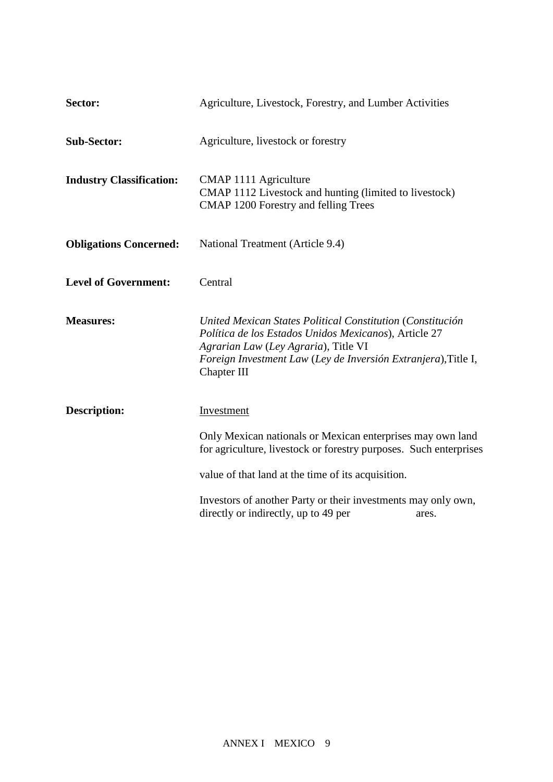| Sector:                         | Agriculture, Livestock, Forestry, and Lumber Activities                                                                                                                                                                                      |
|---------------------------------|----------------------------------------------------------------------------------------------------------------------------------------------------------------------------------------------------------------------------------------------|
| <b>Sub-Sector:</b>              | Agriculture, livestock or forestry                                                                                                                                                                                                           |
| <b>Industry Classification:</b> | CMAP 1111 Agriculture<br>CMAP 1112 Livestock and hunting (limited to livestock)<br>CMAP 1200 Forestry and felling Trees                                                                                                                      |
| <b>Obligations Concerned:</b>   | National Treatment (Article 9.4)                                                                                                                                                                                                             |
| <b>Level of Government:</b>     | Central                                                                                                                                                                                                                                      |
| <b>Measures:</b>                | United Mexican States Political Constitution (Constitución<br>Política de los Estados Unidos Mexicanos), Article 27<br>Agrarian Law (Ley Agraria), Title VI<br>Foreign Investment Law (Ley de Inversión Extranjera), Title I,<br>Chapter III |
| <b>Description:</b>             | Investment                                                                                                                                                                                                                                   |
|                                 | Only Mexican nationals or Mexican enterprises may own land<br>for agriculture, livestock or forestry purposes. Such enterprises                                                                                                              |
|                                 | value of that land at the time of its acquisition.                                                                                                                                                                                           |
|                                 | Investors of another Party or their investments may only own,<br>directly or indirectly, up to 49 per<br>ares.                                                                                                                               |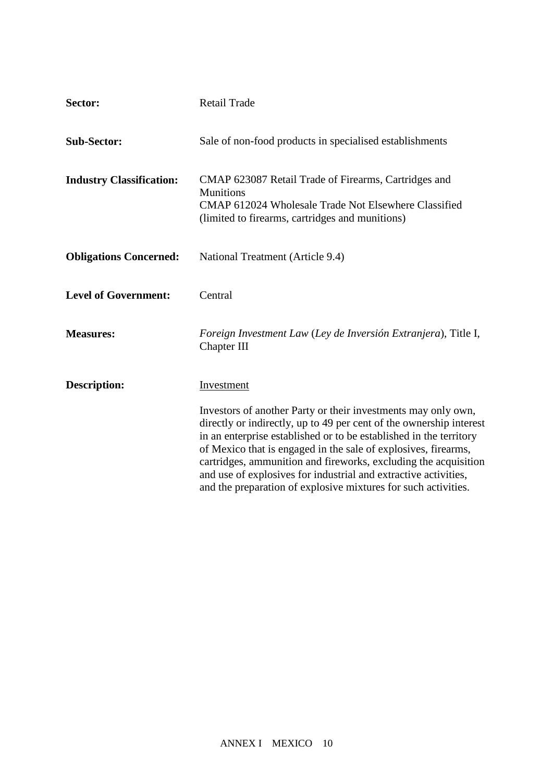| Sector:                         | <b>Retail Trade</b>                                                                                                                                                                                                                                                                                                                                                                                                                                                                  |
|---------------------------------|--------------------------------------------------------------------------------------------------------------------------------------------------------------------------------------------------------------------------------------------------------------------------------------------------------------------------------------------------------------------------------------------------------------------------------------------------------------------------------------|
| <b>Sub-Sector:</b>              | Sale of non-food products in specialised establishments                                                                                                                                                                                                                                                                                                                                                                                                                              |
| <b>Industry Classification:</b> | CMAP 623087 Retail Trade of Firearms, Cartridges and<br><b>Munitions</b><br>CMAP 612024 Wholesale Trade Not Elsewhere Classified<br>(limited to firearms, cartridges and munitions)                                                                                                                                                                                                                                                                                                  |
| <b>Obligations Concerned:</b>   | National Treatment (Article 9.4)                                                                                                                                                                                                                                                                                                                                                                                                                                                     |
| <b>Level of Government:</b>     | Central                                                                                                                                                                                                                                                                                                                                                                                                                                                                              |
| <b>Measures:</b>                | Foreign Investment Law (Ley de Inversión Extranjera), Title I,<br>Chapter III                                                                                                                                                                                                                                                                                                                                                                                                        |
| <b>Description:</b>             | Investment                                                                                                                                                                                                                                                                                                                                                                                                                                                                           |
|                                 | Investors of another Party or their investments may only own,<br>directly or indirectly, up to 49 per cent of the ownership interest<br>in an enterprise established or to be established in the territory<br>of Mexico that is engaged in the sale of explosives, firearms,<br>cartridges, ammunition and fireworks, excluding the acquisition<br>and use of explosives for industrial and extractive activities,<br>and the preparation of explosive mixtures for such activities. |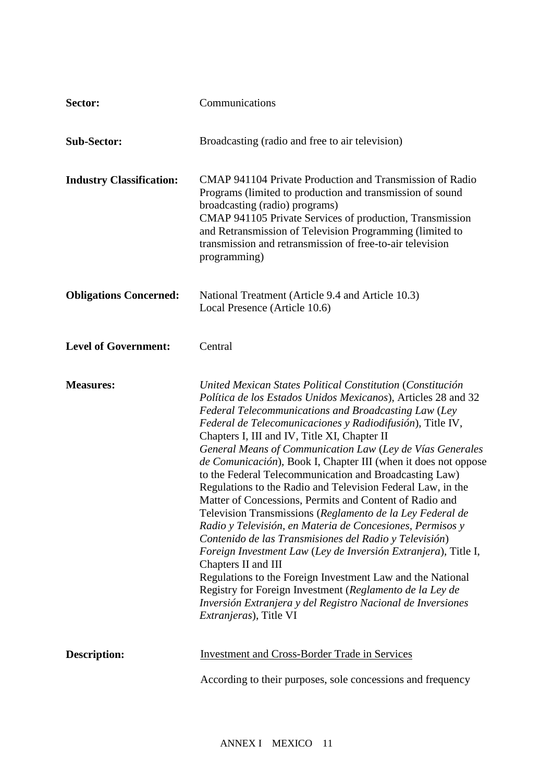| Sector:                         | Communications                                                                                                                                                                                                                                                                                                                                                                                                                                                                                                                                                                                                                                                                                                                                                                                                                                                                                                                                                                                                                                                                                                              |
|---------------------------------|-----------------------------------------------------------------------------------------------------------------------------------------------------------------------------------------------------------------------------------------------------------------------------------------------------------------------------------------------------------------------------------------------------------------------------------------------------------------------------------------------------------------------------------------------------------------------------------------------------------------------------------------------------------------------------------------------------------------------------------------------------------------------------------------------------------------------------------------------------------------------------------------------------------------------------------------------------------------------------------------------------------------------------------------------------------------------------------------------------------------------------|
| <b>Sub-Sector:</b>              | Broadcasting (radio and free to air television)                                                                                                                                                                                                                                                                                                                                                                                                                                                                                                                                                                                                                                                                                                                                                                                                                                                                                                                                                                                                                                                                             |
| <b>Industry Classification:</b> | CMAP 941104 Private Production and Transmission of Radio<br>Programs (limited to production and transmission of sound<br>broadcasting (radio) programs)<br>CMAP 941105 Private Services of production, Transmission<br>and Retransmission of Television Programming (limited to<br>transmission and retransmission of free-to-air television<br>programming)                                                                                                                                                                                                                                                                                                                                                                                                                                                                                                                                                                                                                                                                                                                                                                |
| <b>Obligations Concerned:</b>   | National Treatment (Article 9.4 and Article 10.3)<br>Local Presence (Article 10.6)                                                                                                                                                                                                                                                                                                                                                                                                                                                                                                                                                                                                                                                                                                                                                                                                                                                                                                                                                                                                                                          |
| <b>Level of Government:</b>     | Central                                                                                                                                                                                                                                                                                                                                                                                                                                                                                                                                                                                                                                                                                                                                                                                                                                                                                                                                                                                                                                                                                                                     |
| <b>Measures:</b>                | United Mexican States Political Constitution (Constitución<br>Política de los Estados Unidos Mexicanos), Articles 28 and 32<br>Federal Telecommunications and Broadcasting Law (Ley<br>Federal de Telecomunicaciones y Radiodifusión), Title IV,<br>Chapters I, III and IV, Title XI, Chapter II<br>General Means of Communication Law (Ley de Vías Generales<br>de Comunicación), Book I, Chapter III (when it does not oppose<br>to the Federal Telecommunication and Broadcasting Law)<br>Regulations to the Radio and Television Federal Law, in the<br>Matter of Concessions, Permits and Content of Radio and<br>Television Transmissions (Reglamento de la Ley Federal de<br>Radio y Televisión, en Materia de Concesiones, Permisos y<br>Contenido de las Transmisiones del Radio y Televisión)<br>Foreign Investment Law (Ley de Inversión Extranjera), Title I,<br>Chapters II and III<br>Regulations to the Foreign Investment Law and the National<br>Registry for Foreign Investment (Reglamento de la Ley de<br>Inversión Extranjera y del Registro Nacional de Inversiones<br><i>Extranjeras</i> ), Title VI |
| <b>Description:</b>             | <b>Investment and Cross-Border Trade in Services</b>                                                                                                                                                                                                                                                                                                                                                                                                                                                                                                                                                                                                                                                                                                                                                                                                                                                                                                                                                                                                                                                                        |
|                                 | According to their purposes, sole concessions and frequency                                                                                                                                                                                                                                                                                                                                                                                                                                                                                                                                                                                                                                                                                                                                                                                                                                                                                                                                                                                                                                                                 |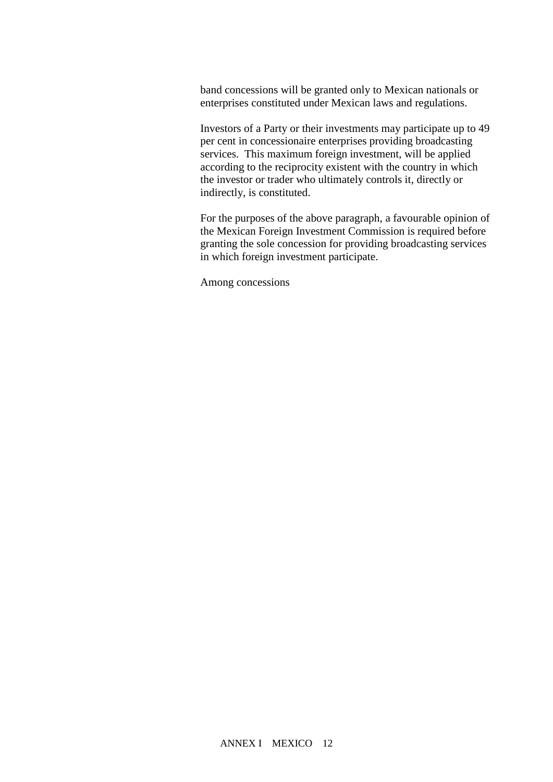band concessions will be granted only to Mexican nationals or enterprises constituted under Mexican laws and regulations.

Investors of a Party or their investments may participate up to 49 per cent in concessionaire enterprises providing broadcasting services. This maximum foreign investment, will be applied according to the reciprocity existent with the country in which the investor or trader who ultimately controls it, directly or indirectly, is constituted.

For the purposes of the above paragraph, a favourable opinion of the Mexican Foreign Investment Commission is required before granting the sole concession for providing broadcasting services in which foreign investment participate.

Among concessions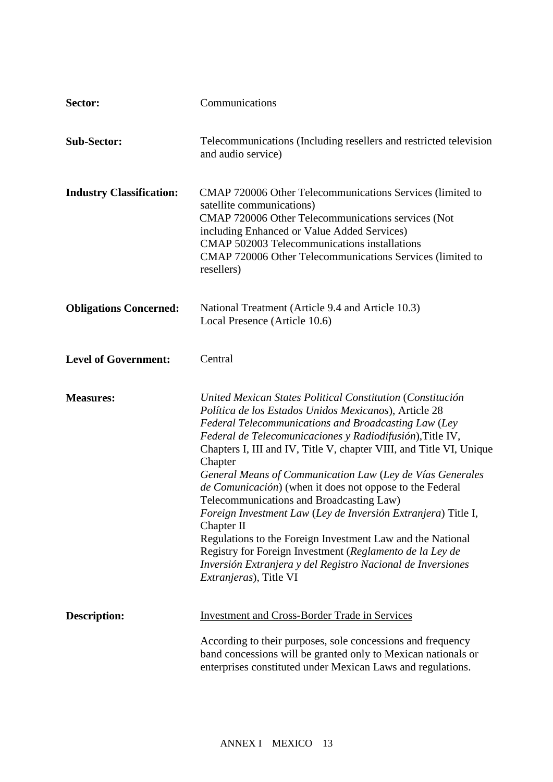| Sector:                         | Communications                                                                                                                                                                                                                                                                                                                                                                                                                                                                                                                                                                                                                                                                                                                                                                                                    |
|---------------------------------|-------------------------------------------------------------------------------------------------------------------------------------------------------------------------------------------------------------------------------------------------------------------------------------------------------------------------------------------------------------------------------------------------------------------------------------------------------------------------------------------------------------------------------------------------------------------------------------------------------------------------------------------------------------------------------------------------------------------------------------------------------------------------------------------------------------------|
| <b>Sub-Sector:</b>              | Telecommunications (Including resellers and restricted television<br>and audio service)                                                                                                                                                                                                                                                                                                                                                                                                                                                                                                                                                                                                                                                                                                                           |
| <b>Industry Classification:</b> | CMAP 720006 Other Telecommunications Services (limited to<br>satellite communications)<br>CMAP 720006 Other Telecommunications services (Not<br>including Enhanced or Value Added Services)<br>CMAP 502003 Telecommunications installations<br>CMAP 720006 Other Telecommunications Services (limited to<br>resellers)                                                                                                                                                                                                                                                                                                                                                                                                                                                                                            |
| <b>Obligations Concerned:</b>   | National Treatment (Article 9.4 and Article 10.3)<br>Local Presence (Article 10.6)                                                                                                                                                                                                                                                                                                                                                                                                                                                                                                                                                                                                                                                                                                                                |
| <b>Level of Government:</b>     | Central                                                                                                                                                                                                                                                                                                                                                                                                                                                                                                                                                                                                                                                                                                                                                                                                           |
| <b>Measures:</b>                | United Mexican States Political Constitution (Constitución<br>Política de los Estados Unidos Mexicanos), Article 28<br>Federal Telecommunications and Broadcasting Law (Ley<br>Federal de Telecomunicaciones y Radiodifusión), Title IV,<br>Chapters I, III and IV, Title V, chapter VIII, and Title VI, Unique<br>Chapter<br>General Means of Communication Law (Ley de Vías Generales<br><i>de Comunicación</i> ) (when it does not oppose to the Federal<br>Telecommunications and Broadcasting Law)<br>Foreign Investment Law (Ley de Inversión Extranjera) Title I,<br>Chapter II<br>Regulations to the Foreign Investment Law and the National<br>Registry for Foreign Investment (Reglamento de la Ley de<br>Inversión Extranjera y del Registro Nacional de Inversiones<br><i>Extranjeras</i> ), Title VI |
|                                 |                                                                                                                                                                                                                                                                                                                                                                                                                                                                                                                                                                                                                                                                                                                                                                                                                   |
| <b>Description:</b>             | <b>Investment and Cross-Border Trade in Services</b><br>According to their purposes, sole concessions and frequency                                                                                                                                                                                                                                                                                                                                                                                                                                                                                                                                                                                                                                                                                               |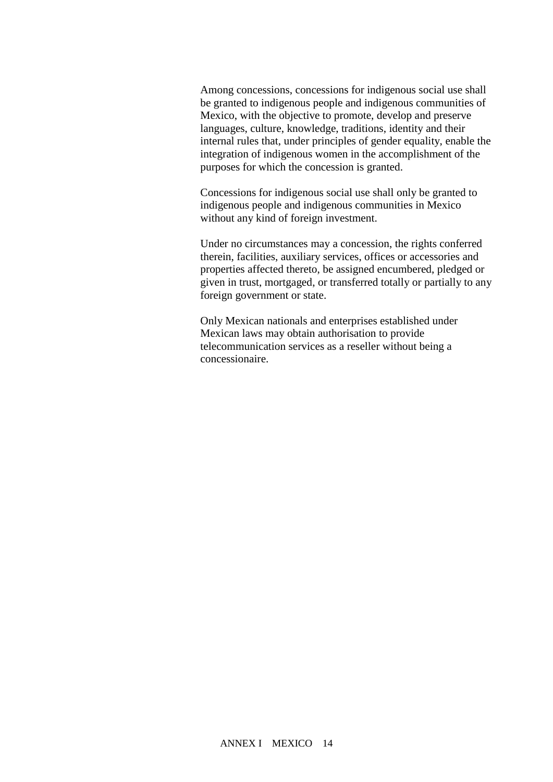Among concessions, concessions for indigenous social use shall be granted to indigenous people and indigenous communities of Mexico, with the objective to promote, develop and preserve languages, culture, knowledge, traditions, identity and their internal rules that, under principles of gender equality, enable the integration of indigenous women in the accomplishment of the purposes for which the concession is granted.

Concessions for indigenous social use shall only be granted to indigenous people and indigenous communities in Mexico without any kind of foreign investment.

Under no circumstances may a concession, the rights conferred therein, facilities, auxiliary services, offices or accessories and properties affected thereto, be assigned encumbered, pledged or given in trust, mortgaged, or transferred totally or partially to any foreign government or state.

Only Mexican nationals and enterprises established under Mexican laws may obtain authorisation to provide telecommunication services as a reseller without being a concessionaire.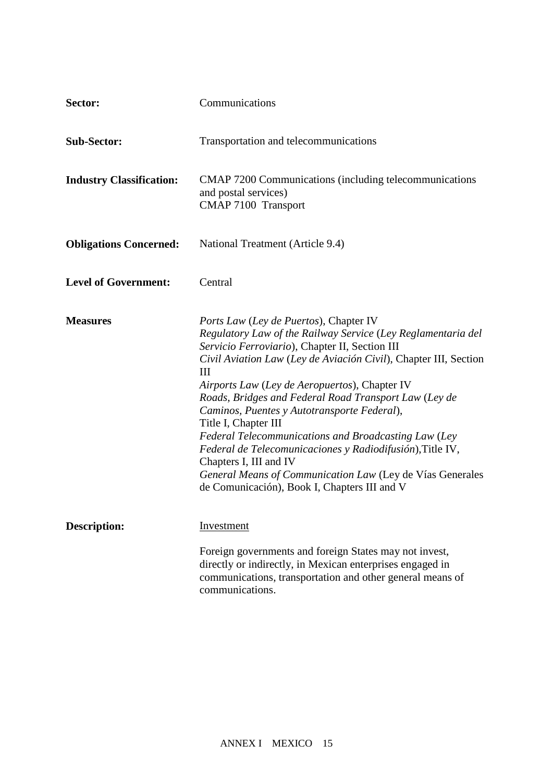| Sector:                         | Communications                                                                                                                                                                                                                                                                                                                                                                                                                                                                                                                                                                                                                                                                         |
|---------------------------------|----------------------------------------------------------------------------------------------------------------------------------------------------------------------------------------------------------------------------------------------------------------------------------------------------------------------------------------------------------------------------------------------------------------------------------------------------------------------------------------------------------------------------------------------------------------------------------------------------------------------------------------------------------------------------------------|
| <b>Sub-Sector:</b>              | Transportation and telecommunications                                                                                                                                                                                                                                                                                                                                                                                                                                                                                                                                                                                                                                                  |
| <b>Industry Classification:</b> | CMAP 7200 Communications (including telecommunications<br>and postal services)<br>CMAP 7100 Transport                                                                                                                                                                                                                                                                                                                                                                                                                                                                                                                                                                                  |
| <b>Obligations Concerned:</b>   | National Treatment (Article 9.4)                                                                                                                                                                                                                                                                                                                                                                                                                                                                                                                                                                                                                                                       |
| <b>Level of Government:</b>     | Central                                                                                                                                                                                                                                                                                                                                                                                                                                                                                                                                                                                                                                                                                |
| <b>Measures</b>                 | <i>Ports Law (Ley de Puertos)</i> , Chapter IV<br>Regulatory Law of the Railway Service (Ley Reglamentaria del<br>Servicio Ferroviario), Chapter II, Section III<br>Civil Aviation Law (Ley de Aviación Civil), Chapter III, Section<br>Ш<br>Airports Law (Ley de Aeropuertos), Chapter IV<br>Roads, Bridges and Federal Road Transport Law (Ley de<br>Caminos, Puentes y Autotransporte Federal),<br>Title I, Chapter III<br>Federal Telecommunications and Broadcasting Law (Ley<br>Federal de Telecomunicaciones y Radiodifusión), Title IV,<br>Chapters I, III and IV<br>General Means of Communication Law (Ley de Vías Generales<br>de Comunicación), Book I, Chapters III and V |
| <b>Description:</b>             | Investment<br>Foreign governments and foreign States may not invest,<br>directly or indirectly, in Mexican enterprises engaged in<br>communications, transportation and other general means of<br>communications.                                                                                                                                                                                                                                                                                                                                                                                                                                                                      |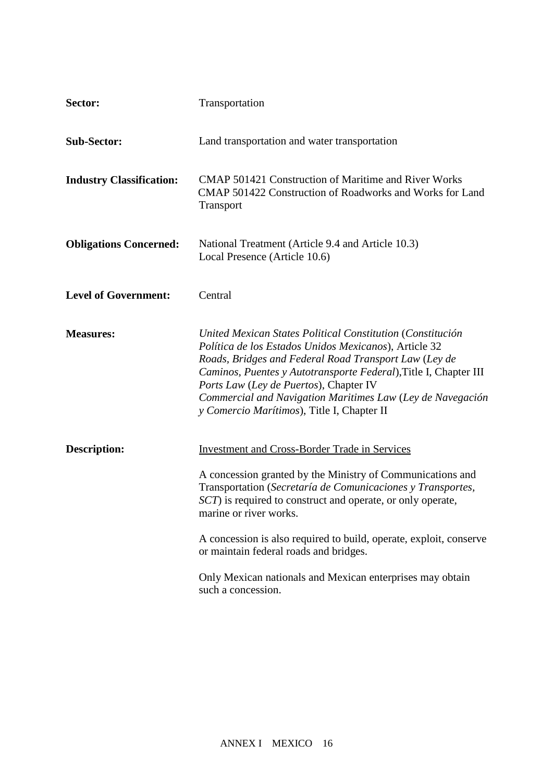| Sector:                         | Transportation                                                                                                                                                                                                                                                                                                                                                                                                                                                                |
|---------------------------------|-------------------------------------------------------------------------------------------------------------------------------------------------------------------------------------------------------------------------------------------------------------------------------------------------------------------------------------------------------------------------------------------------------------------------------------------------------------------------------|
| <b>Sub-Sector:</b>              | Land transportation and water transportation                                                                                                                                                                                                                                                                                                                                                                                                                                  |
| <b>Industry Classification:</b> | <b>CMAP 501421 Construction of Maritime and River Works</b><br>CMAP 501422 Construction of Roadworks and Works for Land<br>Transport                                                                                                                                                                                                                                                                                                                                          |
| <b>Obligations Concerned:</b>   | National Treatment (Article 9.4 and Article 10.3)<br>Local Presence (Article 10.6)                                                                                                                                                                                                                                                                                                                                                                                            |
| <b>Level of Government:</b>     | Central                                                                                                                                                                                                                                                                                                                                                                                                                                                                       |
| <b>Measures:</b>                | United Mexican States Political Constitution (Constitución<br>Política de los Estados Unidos Mexicanos), Article 32<br>Roads, Bridges and Federal Road Transport Law (Ley de<br>Caminos, Puentes y Autotransporte Federal), Title I, Chapter III<br>Ports Law (Ley de Puertos), Chapter IV<br>Commercial and Navigation Maritimes Law (Ley de Navegación<br>y Comercio Marítimos), Title I, Chapter II                                                                        |
| <b>Description:</b>             | <b>Investment and Cross-Border Trade in Services</b><br>A concession granted by the Ministry of Communications and<br>Transportation (Secretaría de Comunicaciones y Transportes,<br>SCT) is required to construct and operate, or only operate,<br>marine or river works.<br>A concession is also required to build, operate, exploit, conserve<br>or maintain federal roads and bridges.<br>Only Mexican nationals and Mexican enterprises may obtain<br>such a concession. |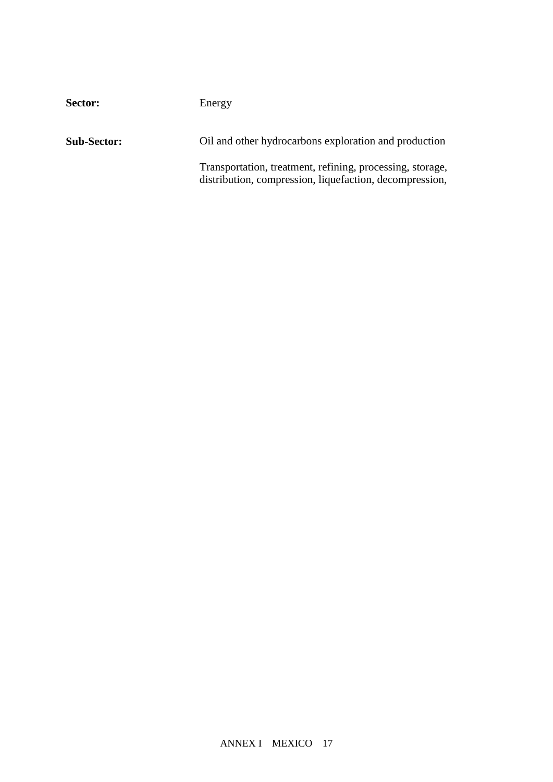| Sector:            | Energy                                                                                                                                                                                |
|--------------------|---------------------------------------------------------------------------------------------------------------------------------------------------------------------------------------|
| <b>Sub-Sector:</b> | Oil and other hydrocarbons exploration and production                                                                                                                                 |
|                    | Transportation, treatment, refining, processing, storage,<br>distribution, compression, liquefaction, decompression,<br>regasificansportati.91 165.62 reW*nBT1 0 0 1 287.47 685.9 Tm( |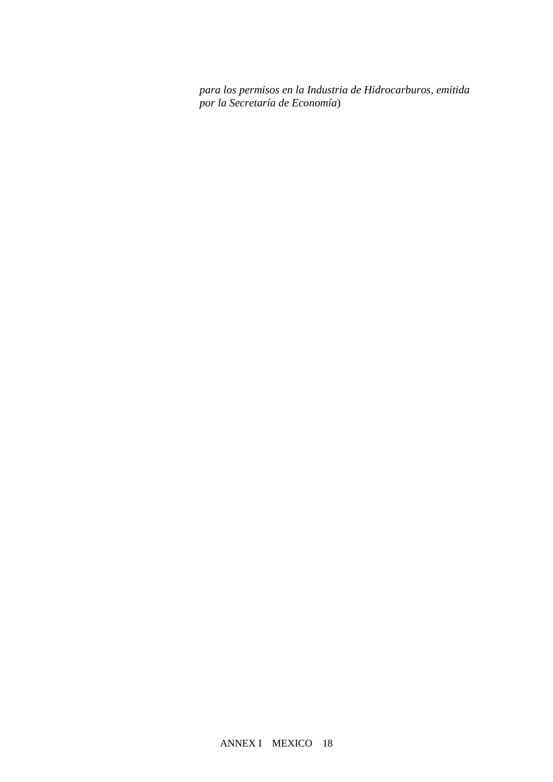*para los permisos en la Industria de Hidrocarburos, emitida por la Secretaría de Economía*)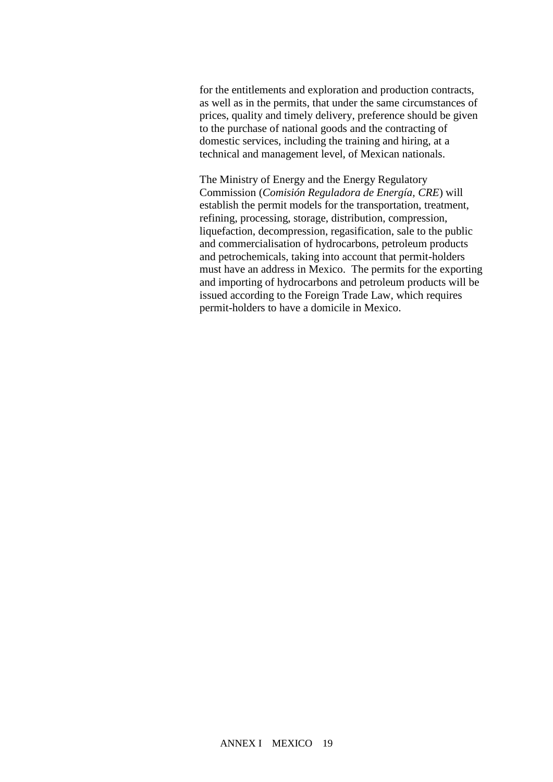for the entitlements and exploration and production contracts, as well as in the permits, that under the same circumstances of prices, quality and timely delivery, preference should be given to the purchase of national goods and the contracting of domestic services, including the training and hiring, at a technical and management level, of Mexican nationals.

The Ministry of Energy and the Energy Regulatory Commission (*Comisión Reguladora de Energía, CRE*) will establish the permit models for the transportation, treatment, refining, processing, storage, distribution, compression, liquefaction, decompression, regasification, sale to the public and commercialisation of hydrocarbons, petroleum products and petrochemicals, taking into account that permit-holders must have an address in Mexico. The permits for the exporting and importing of hydrocarbons and petroleum products will be issued according to the Foreign Trade Law, which requires permit-holders to have a domicile in Mexico.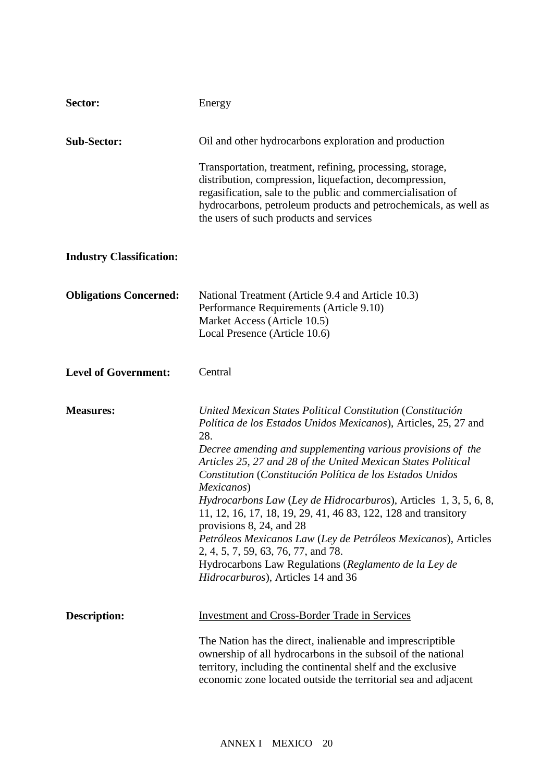| Sector:                         | Energy                                                                                                                                                                                                                                                                                                                                                                                                                                                                                                                                                                                                                                                                                                                        |
|---------------------------------|-------------------------------------------------------------------------------------------------------------------------------------------------------------------------------------------------------------------------------------------------------------------------------------------------------------------------------------------------------------------------------------------------------------------------------------------------------------------------------------------------------------------------------------------------------------------------------------------------------------------------------------------------------------------------------------------------------------------------------|
| <b>Sub-Sector:</b>              | Oil and other hydrocarbons exploration and production                                                                                                                                                                                                                                                                                                                                                                                                                                                                                                                                                                                                                                                                         |
|                                 | Transportation, treatment, refining, processing, storage,<br>distribution, compression, liquefaction, decompression,<br>regasification, sale to the public and commercialisation of<br>hydrocarbons, petroleum products and petrochemicals, as well as<br>the users of such products and services                                                                                                                                                                                                                                                                                                                                                                                                                             |
| <b>Industry Classification:</b> |                                                                                                                                                                                                                                                                                                                                                                                                                                                                                                                                                                                                                                                                                                                               |
| <b>Obligations Concerned:</b>   | National Treatment (Article 9.4 and Article 10.3)<br>Performance Requirements (Article 9.10)<br>Market Access (Article 10.5)<br>Local Presence (Article 10.6)                                                                                                                                                                                                                                                                                                                                                                                                                                                                                                                                                                 |
| <b>Level of Government:</b>     | Central                                                                                                                                                                                                                                                                                                                                                                                                                                                                                                                                                                                                                                                                                                                       |
| <b>Measures:</b>                | United Mexican States Political Constitution (Constitución<br>Política de los Estados Unidos Mexicanos), Articles, 25, 27 and<br>28.<br>Decree amending and supplementing various provisions of the<br>Articles 25, 27 and 28 of the United Mexican States Political<br>Constitution (Constitución Política de los Estados Unidos<br>Mexicanos)<br>Hydrocarbons Law (Ley de Hidrocarburos), Articles 1, 3, 5, 6, 8,<br>11, 12, 16, 17, 18, 19, 29, 41, 46 83, 122, 128 and transitory<br>provisions $8, 24,$ and $28$<br>Petróleos Mexicanos Law (Ley de Petróleos Mexicanos), Articles<br>2, 4, 5, 7, 59, 63, 76, 77, and 78.<br>Hydrocarbons Law Regulations (Reglamento de la Ley de<br>Hidrocarburos), Articles 14 and 36 |
| <b>Description:</b>             | <b>Investment and Cross-Border Trade in Services</b><br>The Nation has the direct, inalienable and imprescriptible<br>ownership of all hydrocarbons in the subsoil of the national<br>territory, including the continental shelf and the exclusive<br>economic zone located outside the territorial sea and adjacent                                                                                                                                                                                                                                                                                                                                                                                                          |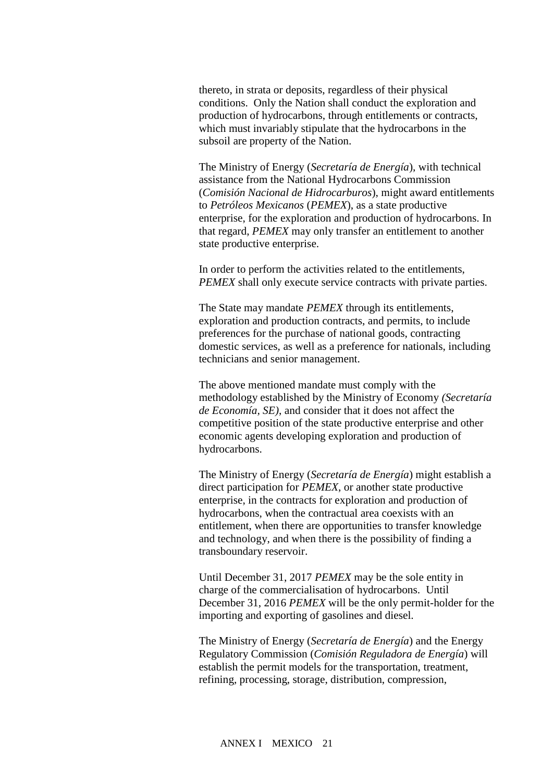thereto, in strata or deposits, regardless of their physical conditions. Only the Nation shall conduct the exploration and production of hydrocarbons, through entitlements or contracts, which must invariably stipulate that the hydrocarbons in the subsoil are property of the Nation.

The Ministry of Energy (*Secretaría de Energía*), with technical assistance from the National Hydrocarbons Commission (*Comisión Nacional de Hidrocarburos*), might award entitlements to *Petróleos Mexicanos* (*PEMEX*), as a state productive enterprise, for the exploration and production of hydrocarbons. In that regard, *PEMEX* may only transfer an entitlement to another state productive enterprise.

In order to perform the activities related to the entitlements, *PEMEX* shall only execute service contracts with private parties.

The State may mandate *PEMEX* through its entitlements, exploration and production contracts, and permits, to include preferences for the purchase of national goods, contracting domestic services, as well as a preference for nationals, including technicians and senior management.

The above mentioned mandate must comply with the methodology established by the Ministry of Economy *(Secretaría de Economía, SE)*, and consider that it does not affect the competitive position of the state productive enterprise and other economic agents developing exploration and production of hydrocarbons.

The Ministry of Energy (*Secretaría de Energía*) might establish a direct participation for *PEMEX*, or another state productive enterprise, in the contracts for exploration and production of hydrocarbons, when the contractual area coexists with an entitlement, when there are opportunities to transfer knowledge and technology, and when there is the possibility of finding a transboundary reservoir.

Until December 31, 2017 *PEMEX* may be the sole entity in charge of the commercialisation of hydrocarbons. Until December 31, 2016 *PEMEX* will be the only permit-holder for the importing and exporting of gasolines and diesel.

The Ministry of Energy (*Secretaría de Energía*) and the Energy Regulatory Commission (*Comisión Reguladora de Energía*) will establish the permit models for the transportation, treatment, refining, processing, storage, distribution, compression,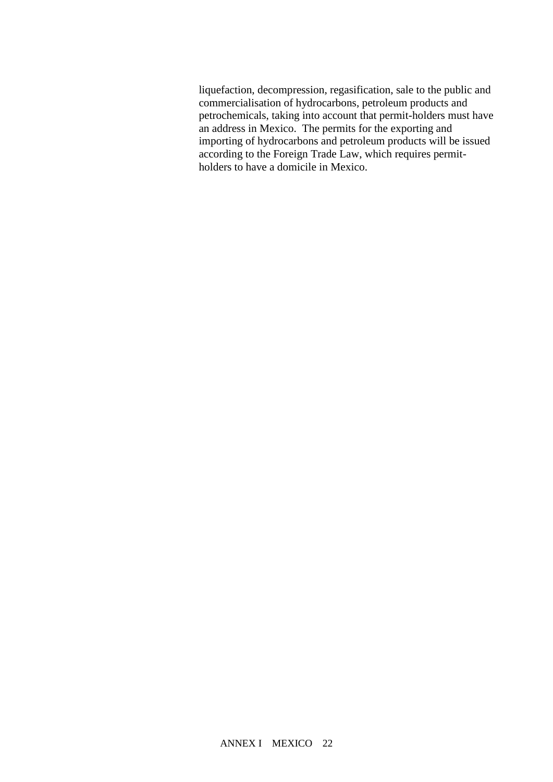liquefaction, decompression, regasification, sale to the public and commercialisation of hydrocarbons, petroleum products and petrochemicals, taking into account that permit-holders must have an address in Mexico. The permits for the exporting and importing of hydrocarbons and petroleum products will be issued according to the Foreign Trade Law, which requires permitholders to have a domicile in Mexico.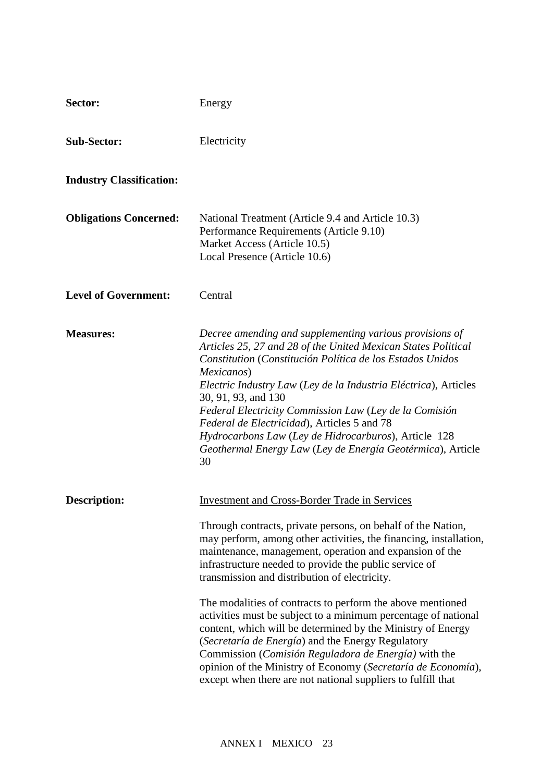| Sector:                         | Energy                                                                                                                                                                                                                                                                                                                                                                                                                                                                                                                                                                                                                                                                                                                                                                                                      |
|---------------------------------|-------------------------------------------------------------------------------------------------------------------------------------------------------------------------------------------------------------------------------------------------------------------------------------------------------------------------------------------------------------------------------------------------------------------------------------------------------------------------------------------------------------------------------------------------------------------------------------------------------------------------------------------------------------------------------------------------------------------------------------------------------------------------------------------------------------|
| <b>Sub-Sector:</b>              | Electricity                                                                                                                                                                                                                                                                                                                                                                                                                                                                                                                                                                                                                                                                                                                                                                                                 |
| <b>Industry Classification:</b> |                                                                                                                                                                                                                                                                                                                                                                                                                                                                                                                                                                                                                                                                                                                                                                                                             |
| <b>Obligations Concerned:</b>   | National Treatment (Article 9.4 and Article 10.3)<br>Performance Requirements (Article 9.10)<br>Market Access (Article 10.5)<br>Local Presence (Article 10.6)                                                                                                                                                                                                                                                                                                                                                                                                                                                                                                                                                                                                                                               |
| <b>Level of Government:</b>     | Central                                                                                                                                                                                                                                                                                                                                                                                                                                                                                                                                                                                                                                                                                                                                                                                                     |
| <b>Measures:</b>                | Decree amending and supplementing various provisions of<br>Articles 25, 27 and 28 of the United Mexican States Political<br>Constitution (Constitución Política de los Estados Unidos<br>Mexicanos)<br>Electric Industry Law (Ley de la Industria Eléctrica), Articles<br>30, 91, 93, and 130<br>Federal Electricity Commission Law (Ley de la Comisión<br>Federal de Electricidad), Articles 5 and 78<br>Hydrocarbons Law (Ley de Hidrocarburos), Article 128<br>Geothermal Energy Law (Ley de Energía Geotérmica), Article<br>30                                                                                                                                                                                                                                                                          |
| <b>Description:</b>             | <b>Investment and Cross-Border Trade in Services</b><br>Through contracts, private persons, on behalf of the Nation,<br>may perform, among other activities, the financing, installation,<br>maintenance, management, operation and expansion of the<br>infrastructure needed to provide the public service of<br>transmission and distribution of electricity.<br>The modalities of contracts to perform the above mentioned<br>activities must be subject to a minimum percentage of national<br>content, which will be determined by the Ministry of Energy<br>(Secretaría de Energía) and the Energy Regulatory<br>Commission (Comisión Reguladora de Energía) with the<br>opinion of the Ministry of Economy (Secretaría de Economía),<br>except when there are not national suppliers to fulfill that |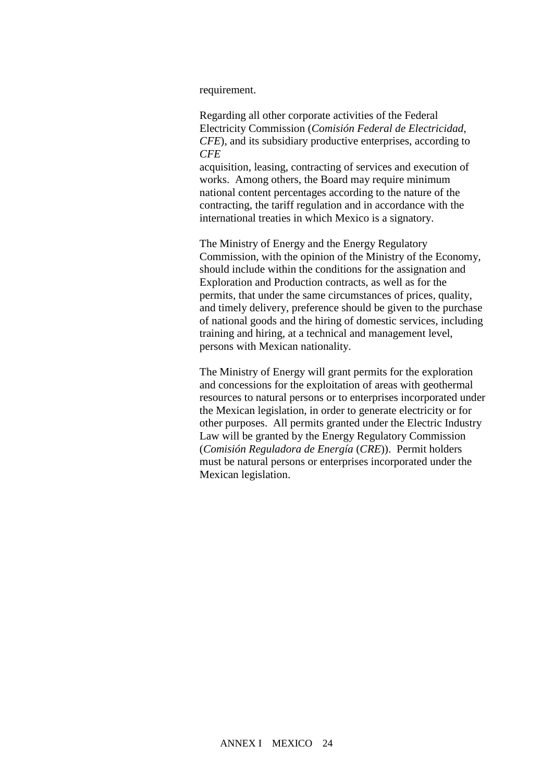#### requirement.

Regarding all other corporate activities of the Federal Electricity Commission (*Comisión Federal de Electricidad, CFE*), and its subsidiary productive enterprises, according to  $CFE$ <sup>s Law</sup> the Board of Directors will issue regulations for the Board of Directors will include the Board of the Board of the Board of the Board of the Board of the Board of the Board of the Board of the Board of the Boa

acquisition, leasing, contracting of services and execution of works. Among others, the Board may require minimum national content percentages according to the nature of the contracting, the tariff regulation and in accordance with the international treaties in which Mexico is a signatory.

The Ministry of Energy and the Energy Regulatory Commission, with the opinion of the Ministry of the Economy, should include within the conditions for the assignation and Exploration and Production contracts, as well as for the permits, that under the same circumstances of prices, quality, and timely delivery, preference should be given to the purchase of national goods and the hiring of domestic services, including training and hiring, at a technical and management level, persons with Mexican nationality.

The Ministry of Energy will grant permits for the exploration and concessions for the exploitation of areas with geothermal resources to natural persons or to enterprises incorporated under the Mexican legislation, in order to generate electricity or for other purposes. All permits granted under the Electric Industry Law will be granted by the Energy Regulatory Commission (*Comisión Reguladora de Energía* (*CRE*)). Permit holders must be natural persons or enterprises incorporated under the Mexican legislation.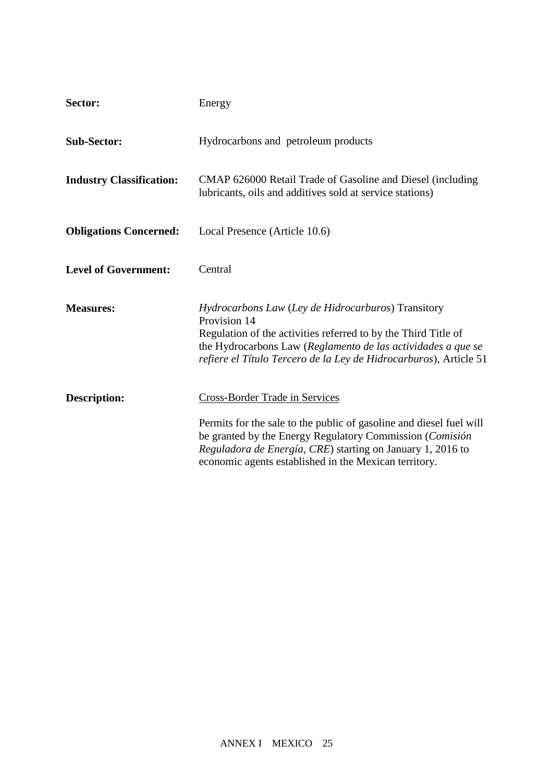| Sector:                         | Energy                                                                                                                                                                                                                                                                                          |
|---------------------------------|-------------------------------------------------------------------------------------------------------------------------------------------------------------------------------------------------------------------------------------------------------------------------------------------------|
| <b>Sub-Sector:</b>              | Hydrocarbons and petroleum products                                                                                                                                                                                                                                                             |
| <b>Industry Classification:</b> | CMAP 626000 Retail Trade of Gasoline and Diesel (including<br>lubricants, oils and additives sold at service stations)                                                                                                                                                                          |
| <b>Obligations Concerned:</b>   | Local Presence (Article 10.6)                                                                                                                                                                                                                                                                   |
| <b>Level of Government:</b>     | Central                                                                                                                                                                                                                                                                                         |
| <b>Measures:</b>                | <i>Hydrocarbons Law (Ley de Hidrocarburos)</i> Transitory<br>Provision 14<br>Regulation of the activities referred to by the Third Title of<br>the Hydrocarbons Law (Reglamento de las actividades a que se<br>refiere el Título Tercero de la Ley de Hidrocarburos), Article 51                |
| <b>Description:</b>             | <b>Cross-Border Trade in Services</b><br>Permits for the sale to the public of gasoline and diesel fuel will<br>be granted by the Energy Regulatory Commission (Comisión<br>Reguladora de Energía, CRE) starting on January 1, 2016 to<br>economic agents established in the Mexican territory. |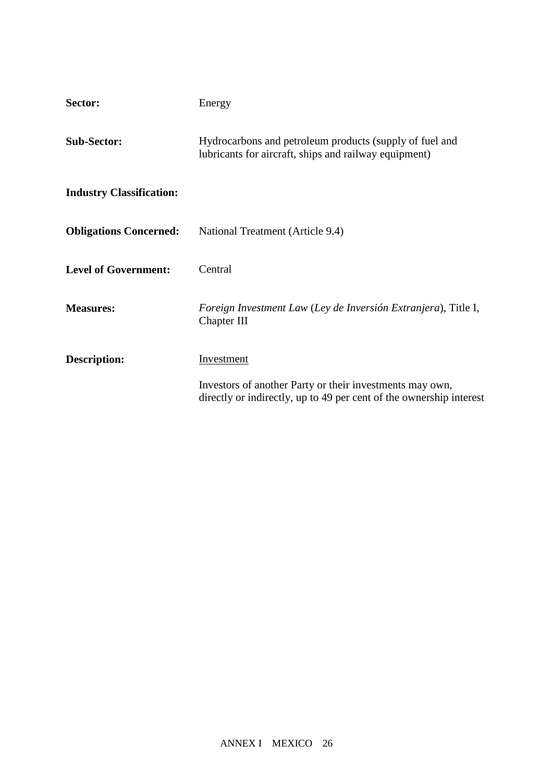| Sector:                         | Energy                                                                                                                          |
|---------------------------------|---------------------------------------------------------------------------------------------------------------------------------|
| <b>Sub-Sector:</b>              | Hydrocarbons and petroleum products (supply of fuel and<br>lubricants for aircraft, ships and railway equipment)                |
| <b>Industry Classification:</b> |                                                                                                                                 |
| <b>Obligations Concerned:</b>   | National Treatment (Article 9.4)                                                                                                |
| <b>Level of Government:</b>     | Central                                                                                                                         |
| <b>Measures:</b>                | Foreign Investment Law (Ley de Inversión Extranjera), Title I,<br>Chapter III                                                   |
| <b>Description:</b>             | <b>Investment</b>                                                                                                               |
|                                 | Investors of another Party or their investments may own,<br>directly or indirectly, up to 49 per cent of the ownership interest |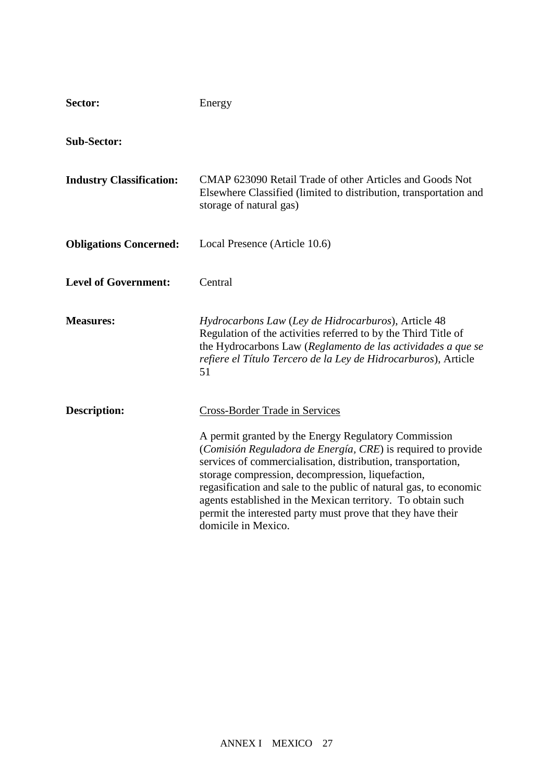| Sector:                         | Energy                                                                                                                                                                                                                                                                                                                                                                                                                                                              |
|---------------------------------|---------------------------------------------------------------------------------------------------------------------------------------------------------------------------------------------------------------------------------------------------------------------------------------------------------------------------------------------------------------------------------------------------------------------------------------------------------------------|
| <b>Sub-Sector:</b>              |                                                                                                                                                                                                                                                                                                                                                                                                                                                                     |
| <b>Industry Classification:</b> | CMAP 623090 Retail Trade of other Articles and Goods Not<br>Elsewhere Classified (limited to distribution, transportation and<br>storage of natural gas)                                                                                                                                                                                                                                                                                                            |
| <b>Obligations Concerned:</b>   | Local Presence (Article 10.6)                                                                                                                                                                                                                                                                                                                                                                                                                                       |
| <b>Level of Government:</b>     | Central                                                                                                                                                                                                                                                                                                                                                                                                                                                             |
| <b>Measures:</b>                | Hydrocarbons Law (Ley de Hidrocarburos), Article 48<br>Regulation of the activities referred to by the Third Title of<br>the Hydrocarbons Law (Reglamento de las actividades a que se<br>refiere el Título Tercero de la Ley de Hidrocarburos), Article<br>51                                                                                                                                                                                                       |
| <b>Description:</b>             | Cross-Border Trade in Services                                                                                                                                                                                                                                                                                                                                                                                                                                      |
|                                 | A permit granted by the Energy Regulatory Commission<br>(Comisión Reguladora de Energía, CRE) is required to provide<br>services of commercialisation, distribution, transportation,<br>storage compression, decompression, liquefaction,<br>regasification and sale to the public of natural gas, to economic<br>agents established in the Mexican territory. To obtain such<br>permit the interested party must prove that they have their<br>domicile in Mexico. |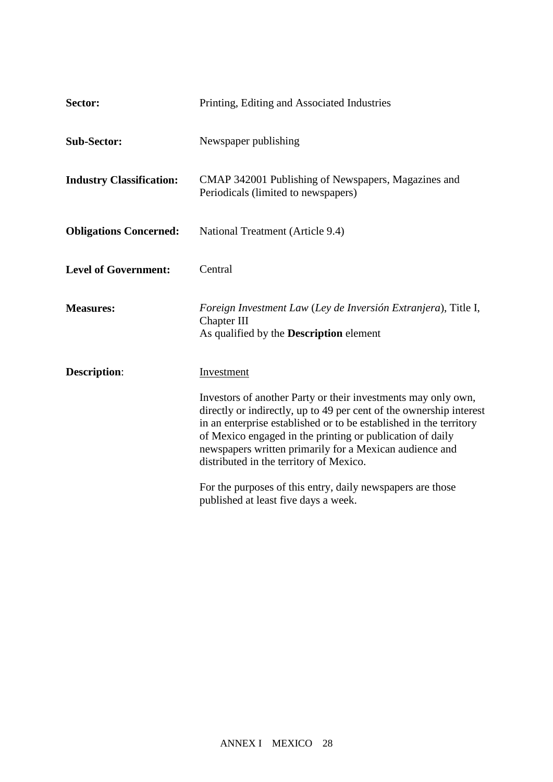| Sector:                         | Printing, Editing and Associated Industries                                                                                                                                                                                                                                                                                                                                   |
|---------------------------------|-------------------------------------------------------------------------------------------------------------------------------------------------------------------------------------------------------------------------------------------------------------------------------------------------------------------------------------------------------------------------------|
| <b>Sub-Sector:</b>              | Newspaper publishing                                                                                                                                                                                                                                                                                                                                                          |
| <b>Industry Classification:</b> | CMAP 342001 Publishing of Newspapers, Magazines and<br>Periodicals (limited to newspapers)                                                                                                                                                                                                                                                                                    |
| <b>Obligations Concerned:</b>   | National Treatment (Article 9.4)                                                                                                                                                                                                                                                                                                                                              |
| <b>Level of Government:</b>     | Central                                                                                                                                                                                                                                                                                                                                                                       |
| <b>Measures:</b>                | Foreign Investment Law (Ley de Inversión Extranjera), Title I,<br>Chapter III<br>As qualified by the <b>Description</b> element                                                                                                                                                                                                                                               |
| <b>Description:</b>             | Investment                                                                                                                                                                                                                                                                                                                                                                    |
|                                 | Investors of another Party or their investments may only own,<br>directly or indirectly, up to 49 per cent of the ownership interest<br>in an enterprise established or to be established in the territory<br>of Mexico engaged in the printing or publication of daily<br>newspapers written primarily for a Mexican audience and<br>distributed in the territory of Mexico. |
|                                 | For the purposes of this entry, daily newspapers are those<br>published at least five days a week.                                                                                                                                                                                                                                                                            |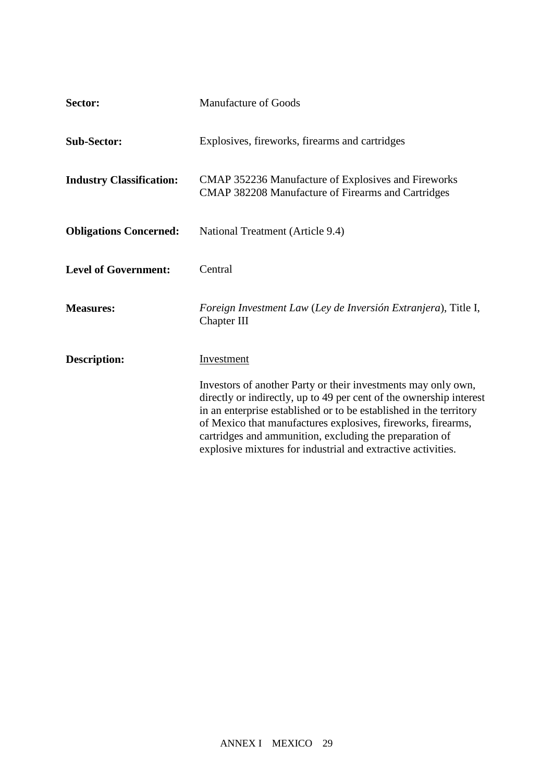| Sector:                         | <b>Manufacture of Goods</b>                                                                                                                                                                                                                                                                                                                                                                           |
|---------------------------------|-------------------------------------------------------------------------------------------------------------------------------------------------------------------------------------------------------------------------------------------------------------------------------------------------------------------------------------------------------------------------------------------------------|
| <b>Sub-Sector:</b>              | Explosives, fireworks, firearms and cartridges                                                                                                                                                                                                                                                                                                                                                        |
| <b>Industry Classification:</b> | <b>CMAP 352236 Manufacture of Explosives and Fireworks</b><br>CMAP 382208 Manufacture of Firearms and Cartridges                                                                                                                                                                                                                                                                                      |
| <b>Obligations Concerned:</b>   | National Treatment (Article 9.4)                                                                                                                                                                                                                                                                                                                                                                      |
| <b>Level of Government:</b>     | Central                                                                                                                                                                                                                                                                                                                                                                                               |
| <b>Measures:</b>                | Foreign Investment Law (Ley de Inversión Extranjera), Title I,<br>Chapter III                                                                                                                                                                                                                                                                                                                         |
| <b>Description:</b>             | Investment                                                                                                                                                                                                                                                                                                                                                                                            |
|                                 | Investors of another Party or their investments may only own,<br>directly or indirectly, up to 49 per cent of the ownership interest<br>in an enterprise established or to be established in the territory<br>of Mexico that manufactures explosives, fireworks, firearms,<br>cartridges and ammunition, excluding the preparation of<br>explosive mixtures for industrial and extractive activities. |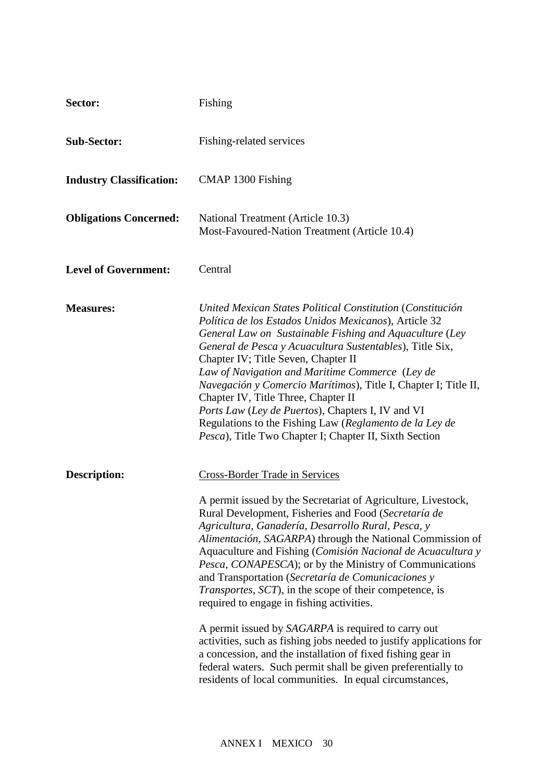| Sector:                         | Fishing                                                                                                                                                                                                                                                                                                                                                                                                                                                                                                                                                                                                                                                                                                                                                                                                                                                                                                           |
|---------------------------------|-------------------------------------------------------------------------------------------------------------------------------------------------------------------------------------------------------------------------------------------------------------------------------------------------------------------------------------------------------------------------------------------------------------------------------------------------------------------------------------------------------------------------------------------------------------------------------------------------------------------------------------------------------------------------------------------------------------------------------------------------------------------------------------------------------------------------------------------------------------------------------------------------------------------|
| <b>Sub-Sector:</b>              | Fishing-related services                                                                                                                                                                                                                                                                                                                                                                                                                                                                                                                                                                                                                                                                                                                                                                                                                                                                                          |
| <b>Industry Classification:</b> | CMAP 1300 Fishing                                                                                                                                                                                                                                                                                                                                                                                                                                                                                                                                                                                                                                                                                                                                                                                                                                                                                                 |
| <b>Obligations Concerned:</b>   | National Treatment (Article 10.3)<br>Most-Favoured-Nation Treatment (Article 10.4)                                                                                                                                                                                                                                                                                                                                                                                                                                                                                                                                                                                                                                                                                                                                                                                                                                |
| <b>Level of Government:</b>     | Central                                                                                                                                                                                                                                                                                                                                                                                                                                                                                                                                                                                                                                                                                                                                                                                                                                                                                                           |
| <b>Measures:</b>                | United Mexican States Political Constitution (Constitución<br>Política de los Estados Unidos Mexicanos), Article 32<br>General Law on Sustainable Fishing and Aquaculture (Ley<br>General de Pesca y Acuacultura Sustentables), Title Six,<br>Chapter IV; Title Seven, Chapter II<br>Law of Navigation and Maritime Commerce (Ley de<br>Navegación y Comercio Marítimos), Title I, Chapter I; Title II,<br>Chapter IV, Title Three, Chapter II<br>Ports Law (Ley de Puertos), Chapters I, IV and VI<br>Regulations to the Fishing Law (Reglamento de la Ley de<br>Pesca), Title Two Chapter I; Chapter II, Sixth Section                                                                                                                                                                                                                                                                                          |
| <b>Description:</b>             | <b>Cross-Border Trade in Services</b><br>A permit issued by the Secretariat of Agriculture, Livestock,<br>Rural Development, Fisheries and Food (Secretaría de<br>Agricultura, Ganadería, Desarrollo Rural, Pesca, y<br>Alimentación, SAGARPA) through the National Commission of<br>Aquaculture and Fishing (Comisión Nacional de Acuacultura y<br><i>Pesca, CONAPESCA</i> ); or by the Ministry of Communications<br>and Transportation (Secretaría de Comunicaciones y<br><i>Transportes, SCT</i> ), in the scope of their competence, is<br>required to engage in fishing activities.<br>A permit issued by SAGARPA is required to carry out<br>activities, such as fishing jobs needed to justify applications for<br>a concession, and the installation of fixed fishing gear in<br>federal waters. Such permit shall be given preferentially to<br>residents of local communities. In equal circumstances, |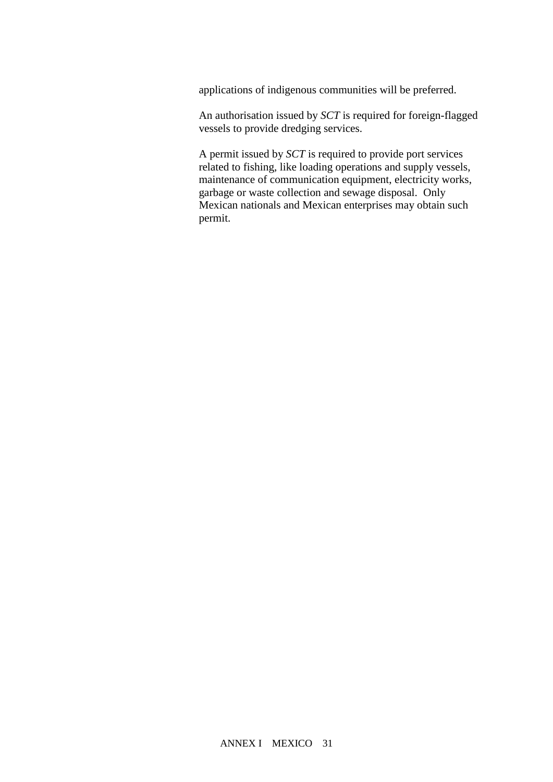applications of indigenous communities will be preferred.

An authorisation issued by *SCT* is required for foreign-flagged vessels to provide dredging services.

A permit issued by *SCT* is required to provide port services related to fishing, like loading operations and supply vessels, maintenance of communication equipment, electricity works, garbage or waste collection and sewage disposal. Only Mexican nationals and Mexican enterprises may obtain such permit.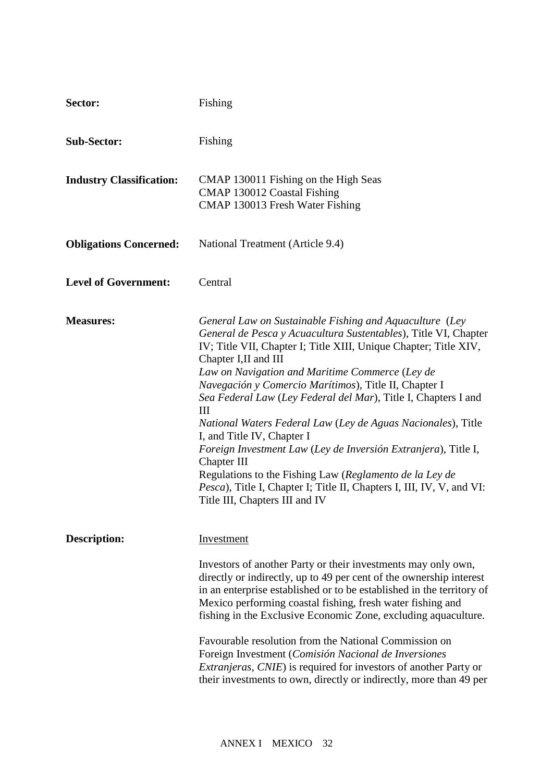| Sector:                         | Fishing                                                                                                                                                                                                                                                                                                                                                                                                                                                                                                                                                                                                                                                                                                                                                                   |
|---------------------------------|---------------------------------------------------------------------------------------------------------------------------------------------------------------------------------------------------------------------------------------------------------------------------------------------------------------------------------------------------------------------------------------------------------------------------------------------------------------------------------------------------------------------------------------------------------------------------------------------------------------------------------------------------------------------------------------------------------------------------------------------------------------------------|
| <b>Sub-Sector:</b>              | Fishing                                                                                                                                                                                                                                                                                                                                                                                                                                                                                                                                                                                                                                                                                                                                                                   |
| <b>Industry Classification:</b> | CMAP 130011 Fishing on the High Seas<br>CMAP 130012 Coastal Fishing<br>CMAP 130013 Fresh Water Fishing                                                                                                                                                                                                                                                                                                                                                                                                                                                                                                                                                                                                                                                                    |
| <b>Obligations Concerned:</b>   | National Treatment (Article 9.4)                                                                                                                                                                                                                                                                                                                                                                                                                                                                                                                                                                                                                                                                                                                                          |
| <b>Level of Government:</b>     | Central                                                                                                                                                                                                                                                                                                                                                                                                                                                                                                                                                                                                                                                                                                                                                                   |
| <b>Measures:</b>                | General Law on Sustainable Fishing and Aquaculture (Ley<br>General de Pesca y Acuacultura Sustentables), Title VI, Chapter<br>IV; Title VII, Chapter I; Title XIII, Unique Chapter; Title XIV,<br>Chapter I, II and III<br>Law on Navigation and Maritime Commerce (Ley de<br>Navegación y Comercio Marítimos), Title II, Chapter I<br>Sea Federal Law (Ley Federal del Mar), Title I, Chapters I and<br>III<br>National Waters Federal Law (Ley de Aguas Nacionales), Title<br>I, and Title IV, Chapter I<br>Foreign Investment Law (Ley de Inversión Extranjera), Title I,<br>Chapter III<br>Regulations to the Fishing Law (Reglamento de la Ley de<br><i>Pesca</i> ), Title I, Chapter I; Title II, Chapters I, III, IV, V, and VI:<br>Title III, Chapters III and IV |
| <b>Description:</b>             | Investment<br>Investors of another Party or their investments may only own,<br>directly or indirectly, up to 49 per cent of the ownership interest<br>in an enterprise established or to be established in the territory of<br>Mexico performing coastal fishing, fresh water fishing and<br>fishing in the Exclusive Economic Zone, excluding aquaculture.<br>Favourable resolution from the National Commission on<br>Foreign Investment (Comisión Nacional de Inversiones<br><i>Extranjeras, CNIE</i> ) is required for investors of another Party or<br>their investments to own, directly or indirectly, more than 49 per                                                                                                                                            |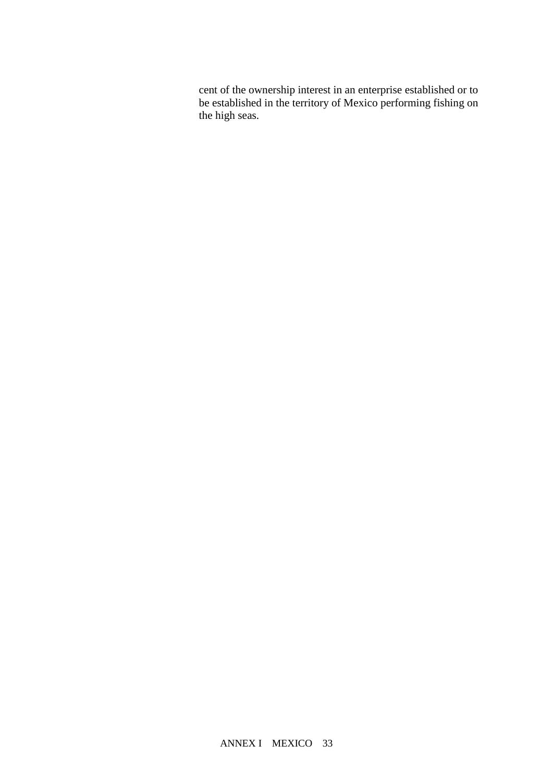cent of the ownership interest in an enterprise established or to be established in the territory of Mexico performing fishing on the high seas.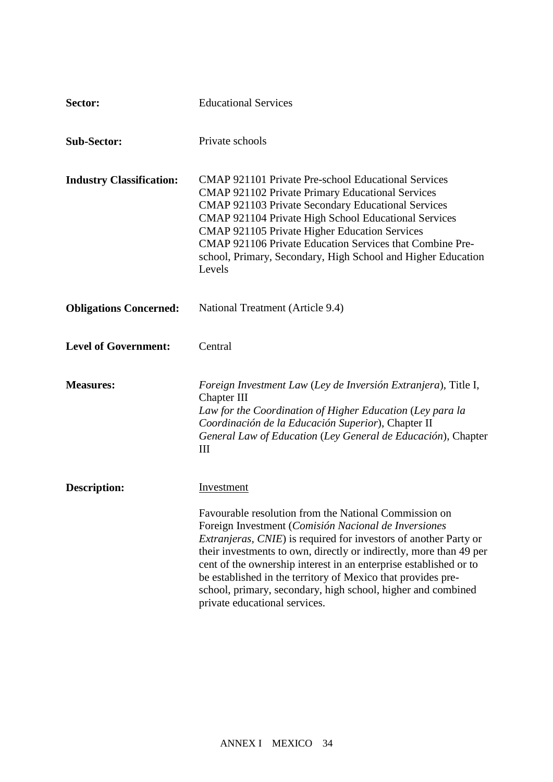| Sector:                         | <b>Educational Services</b>                                                                                                                                                                                                                                                                                                                                                                                                                                                                           |
|---------------------------------|-------------------------------------------------------------------------------------------------------------------------------------------------------------------------------------------------------------------------------------------------------------------------------------------------------------------------------------------------------------------------------------------------------------------------------------------------------------------------------------------------------|
| <b>Sub-Sector:</b>              | Private schools                                                                                                                                                                                                                                                                                                                                                                                                                                                                                       |
| <b>Industry Classification:</b> | <b>CMAP 921101 Private Pre-school Educational Services</b><br><b>CMAP 921102 Private Primary Educational Services</b><br>CMAP 921103 Private Secondary Educational Services<br>CMAP 921104 Private High School Educational Services<br>CMAP 921105 Private Higher Education Services<br>CMAP 921106 Private Education Services that Combine Pre-<br>school, Primary, Secondary, High School and Higher Education<br>Levels                                                                            |
| <b>Obligations Concerned:</b>   | National Treatment (Article 9.4)                                                                                                                                                                                                                                                                                                                                                                                                                                                                      |
| <b>Level of Government:</b>     | Central                                                                                                                                                                                                                                                                                                                                                                                                                                                                                               |
| <b>Measures:</b>                | Foreign Investment Law (Ley de Inversión Extranjera), Title I,<br>Chapter III<br>Law for the Coordination of Higher Education (Ley para la<br>Coordinación de la Educación Superior), Chapter II<br>General Law of Education (Ley General de Educación), Chapter<br>Ш                                                                                                                                                                                                                                 |
| <b>Description:</b>             | Investment                                                                                                                                                                                                                                                                                                                                                                                                                                                                                            |
|                                 | Favourable resolution from the National Commission on<br>Foreign Investment (Comisión Nacional de Inversiones<br><i>Extranjeras, CNIE</i> ) is required for investors of another Party or<br>their investments to own, directly or indirectly, more than 49 per<br>cent of the ownership interest in an enterprise established or to<br>be established in the territory of Mexico that provides pre-<br>school, primary, secondary, high school, higher and combined<br>private educational services. |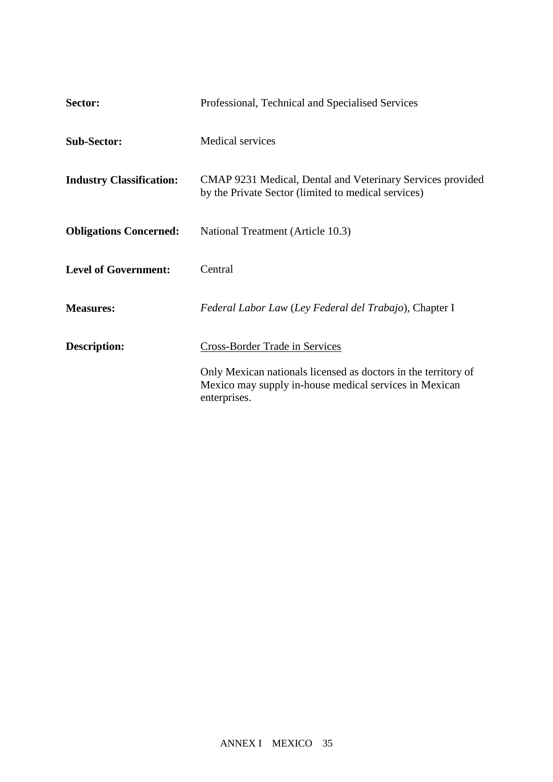| Sector:                         | Professional, Technical and Specialised Services                                                                                         |
|---------------------------------|------------------------------------------------------------------------------------------------------------------------------------------|
| <b>Sub-Sector:</b>              | <b>Medical services</b>                                                                                                                  |
| <b>Industry Classification:</b> | CMAP 9231 Medical, Dental and Veterinary Services provided<br>by the Private Sector (limited to medical services)                        |
| <b>Obligations Concerned:</b>   | National Treatment (Article 10.3)                                                                                                        |
| <b>Level of Government:</b>     | Central                                                                                                                                  |
| <b>Measures:</b>                | Federal Labor Law (Ley Federal del Trabajo), Chapter I                                                                                   |
| <b>Description:</b>             | <b>Cross-Border Trade in Services</b>                                                                                                    |
|                                 | Only Mexican nationals licensed as doctors in the territory of<br>Mexico may supply in-house medical services in Mexican<br>enterprises. |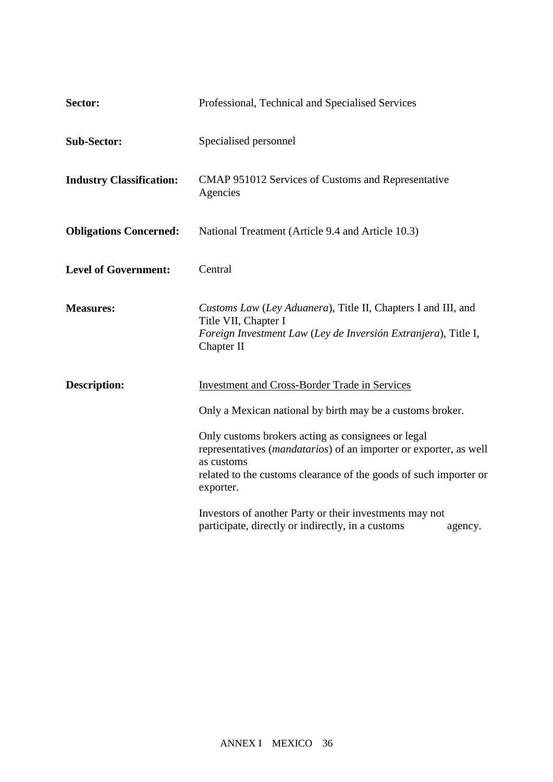| Sector:                         | Professional, Technical and Specialised Services                                                                                                                                                                                                                                                                                                                                                        |
|---------------------------------|---------------------------------------------------------------------------------------------------------------------------------------------------------------------------------------------------------------------------------------------------------------------------------------------------------------------------------------------------------------------------------------------------------|
| <b>Sub-Sector:</b>              | Specialised personnel                                                                                                                                                                                                                                                                                                                                                                                   |
| <b>Industry Classification:</b> | CMAP 951012 Services of Customs and Representative<br>Agencies                                                                                                                                                                                                                                                                                                                                          |
| <b>Obligations Concerned:</b>   | National Treatment (Article 9.4 and Article 10.3)                                                                                                                                                                                                                                                                                                                                                       |
| <b>Level of Government:</b>     | Central                                                                                                                                                                                                                                                                                                                                                                                                 |
| <b>Measures:</b>                | Customs Law (Ley Aduanera), Title II, Chapters I and III, and<br>Title VII, Chapter I<br>Foreign Investment Law (Ley de Inversión Extranjera), Title I,<br>Chapter II                                                                                                                                                                                                                                   |
| <b>Description:</b>             | <b>Investment and Cross-Border Trade in Services</b><br>Only a Mexican national by birth may be a customs broker.<br>Only customs brokers acting as consignees or legal<br>representatives (mandatarios) of an importer or exporter, as well<br>as customs<br>related to the customs clearance of the goods of such importer or<br>exporter.<br>Investors of another Party or their investments may not |
|                                 | participate, directly or indirectly, in a customs<br>agency.                                                                                                                                                                                                                                                                                                                                            |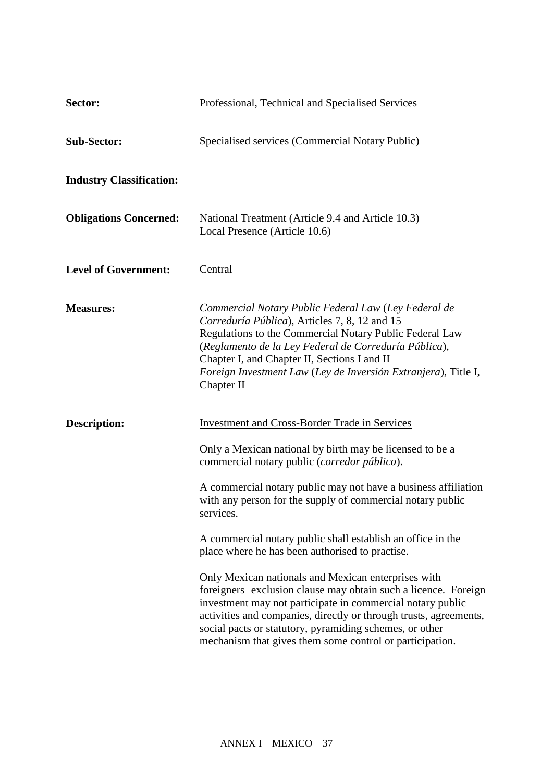| Sector:                         | Professional, Technical and Specialised Services                                                                                                                                                                                                                                                                                                                                |
|---------------------------------|---------------------------------------------------------------------------------------------------------------------------------------------------------------------------------------------------------------------------------------------------------------------------------------------------------------------------------------------------------------------------------|
| <b>Sub-Sector:</b>              | Specialised services (Commercial Notary Public)                                                                                                                                                                                                                                                                                                                                 |
| <b>Industry Classification:</b> |                                                                                                                                                                                                                                                                                                                                                                                 |
| <b>Obligations Concerned:</b>   | National Treatment (Article 9.4 and Article 10.3)<br>Local Presence (Article 10.6)                                                                                                                                                                                                                                                                                              |
| <b>Level of Government:</b>     | Central                                                                                                                                                                                                                                                                                                                                                                         |
| <b>Measures:</b>                | Commercial Notary Public Federal Law (Ley Federal de<br>Correduría Pública), Articles 7, 8, 12 and 15<br>Regulations to the Commercial Notary Public Federal Law<br>(Reglamento de la Ley Federal de Correduría Pública),<br>Chapter I, and Chapter II, Sections I and II<br>Foreign Investment Law (Ley de Inversión Extranjera), Title I,<br>Chapter II                       |
| <b>Description:</b>             | <b>Investment and Cross-Border Trade in Services</b>                                                                                                                                                                                                                                                                                                                            |
|                                 | Only a Mexican national by birth may be licensed to be a<br>commercial notary public (corredor público).                                                                                                                                                                                                                                                                        |
|                                 | A commercial notary public may not have a business affiliation<br>with any person for the supply of commercial notary public<br>services.                                                                                                                                                                                                                                       |
|                                 | A commercial notary public shall establish an office in the<br>place where he has been authorised to practise.                                                                                                                                                                                                                                                                  |
|                                 | Only Mexican nationals and Mexican enterprises with<br>foreigners exclusion clause may obtain such a licence. Foreign<br>investment may not participate in commercial notary public<br>activities and companies, directly or through trusts, agreements,<br>social pacts or statutory, pyramiding schemes, or other<br>mechanism that gives them some control or participation. |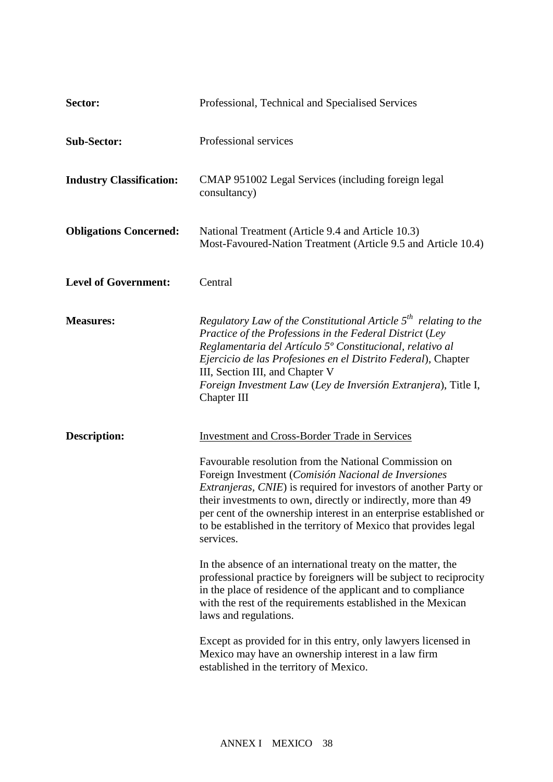| Sector:                         | Professional, Technical and Specialised Services                                                                                                                                                                                                                                                                                                                                                                   |
|---------------------------------|--------------------------------------------------------------------------------------------------------------------------------------------------------------------------------------------------------------------------------------------------------------------------------------------------------------------------------------------------------------------------------------------------------------------|
| <b>Sub-Sector:</b>              | Professional services                                                                                                                                                                                                                                                                                                                                                                                              |
| <b>Industry Classification:</b> | CMAP 951002 Legal Services (including foreign legal<br>consultancy)                                                                                                                                                                                                                                                                                                                                                |
| <b>Obligations Concerned:</b>   | National Treatment (Article 9.4 and Article 10.3)<br>Most-Favoured-Nation Treatment (Article 9.5 and Article 10.4)                                                                                                                                                                                                                                                                                                 |
| <b>Level of Government:</b>     | Central                                                                                                                                                                                                                                                                                                                                                                                                            |
| <b>Measures:</b>                | Regulatory Law of the Constitutional Article $5^{th}$ relating to the<br>Practice of the Professions in the Federal District (Ley<br>Reglamentaria del Artículo 5º Constitucional, relativo al<br>Ejercicio de las Profesiones en el Distrito Federal), Chapter<br>III, Section III, and Chapter V<br>Foreign Investment Law (Ley de Inversión Extranjera), Title I,<br>Chapter III                                |
| <b>Description:</b>             | <b>Investment and Cross-Border Trade in Services</b>                                                                                                                                                                                                                                                                                                                                                               |
|                                 | Favourable resolution from the National Commission on<br>Foreign Investment (Comisión Nacional de Inversiones<br><i>Extranjeras, CNIE</i> ) is required for investors of another Party or<br>their investments to own, directly or indirectly, more than 49<br>per cent of the ownership interest in an enterprise established or<br>to be established in the territory of Mexico that provides legal<br>services. |
|                                 | In the absence of an international treaty on the matter, the<br>professional practice by foreigners will be subject to reciprocity<br>in the place of residence of the applicant and to compliance<br>with the rest of the requirements established in the Mexican<br>laws and regulations.                                                                                                                        |
|                                 | Except as provided for in this entry, only lawyers licensed in<br>Mexico may have an ownership interest in a law firm<br>established in the territory of Mexico.                                                                                                                                                                                                                                                   |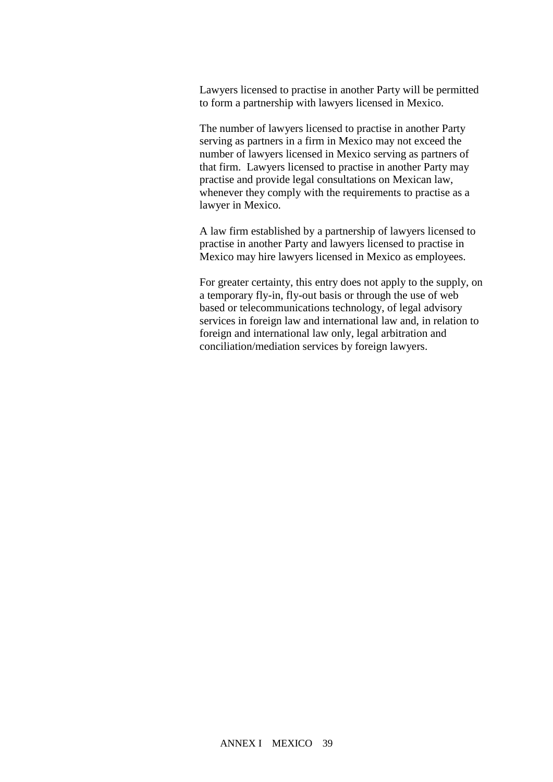Lawyers licensed to practise in another Party will be permitted to form a partnership with lawyers licensed in Mexico.

The number of lawyers licensed to practise in another Party serving as partners in a firm in Mexico may not exceed the number of lawyers licensed in Mexico serving as partners of that firm. Lawyers licensed to practise in another Party may practise and provide legal consultations on Mexican law, whenever they comply with the requirements to practise as a lawyer in Mexico.

A law firm established by a partnership of lawyers licensed to practise in another Party and lawyers licensed to practise in Mexico may hire lawyers licensed in Mexico as employees.

For greater certainty, this entry does not apply to the supply, on a temporary fly-in, fly-out basis or through the use of web based or telecommunications technology, of legal advisory services in foreign law and international law and, in relation to foreign and international law only, legal arbitration and conciliation/mediation services by foreign lawyers.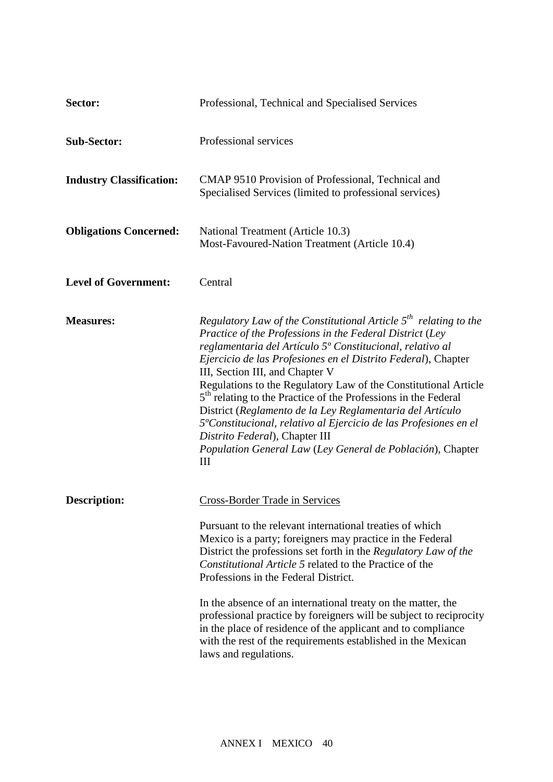| Sector:                         | Professional, Technical and Specialised Services                                                                                                                                                                                                                                                                                                                                                                                                                                                                                                                                                                                                                                                         |
|---------------------------------|----------------------------------------------------------------------------------------------------------------------------------------------------------------------------------------------------------------------------------------------------------------------------------------------------------------------------------------------------------------------------------------------------------------------------------------------------------------------------------------------------------------------------------------------------------------------------------------------------------------------------------------------------------------------------------------------------------|
| <b>Sub-Sector:</b>              | Professional services                                                                                                                                                                                                                                                                                                                                                                                                                                                                                                                                                                                                                                                                                    |
| <b>Industry Classification:</b> | CMAP 9510 Provision of Professional, Technical and<br>Specialised Services (limited to professional services)                                                                                                                                                                                                                                                                                                                                                                                                                                                                                                                                                                                            |
| <b>Obligations Concerned:</b>   | National Treatment (Article 10.3)<br>Most-Favoured-Nation Treatment (Article 10.4)                                                                                                                                                                                                                                                                                                                                                                                                                                                                                                                                                                                                                       |
| <b>Level of Government:</b>     | Central                                                                                                                                                                                                                                                                                                                                                                                                                                                                                                                                                                                                                                                                                                  |
| <b>Measures:</b>                | Regulatory Law of the Constitutional Article $5^{th}$ relating to the<br>Practice of the Professions in the Federal District (Ley<br>reglamentaria del Artículo 5º Constitucional, relativo al<br>Ejercicio de las Profesiones en el Distrito Federal), Chapter<br>III, Section III, and Chapter V<br>Regulations to the Regulatory Law of the Constitutional Article<br>5 <sup>th</sup> relating to the Practice of the Professions in the Federal<br>District (Reglamento de la Ley Reglamentaria del Artículo<br>5 <sup>o</sup> Constitucional, relativo al Ejercicio de las Profesiones en el<br>Distrito Federal), Chapter III<br>Population General Law (Ley General de Población), Chapter<br>III |
| <b>Description:</b>             | <b>Cross-Border Trade in Services</b><br>Pursuant to the relevant international treaties of which<br>Mexico is a party; foreigners may practice in the Federal<br>District the professions set forth in the Regulatory Law of the<br>Constitutional Article 5 related to the Practice of the<br>Professions in the Federal District.<br>In the absence of an international treaty on the matter, the<br>professional practice by foreigners will be subject to reciprocity<br>in the place of residence of the applicant and to compliance<br>with the rest of the requirements established in the Mexican<br>laws and regulations.                                                                      |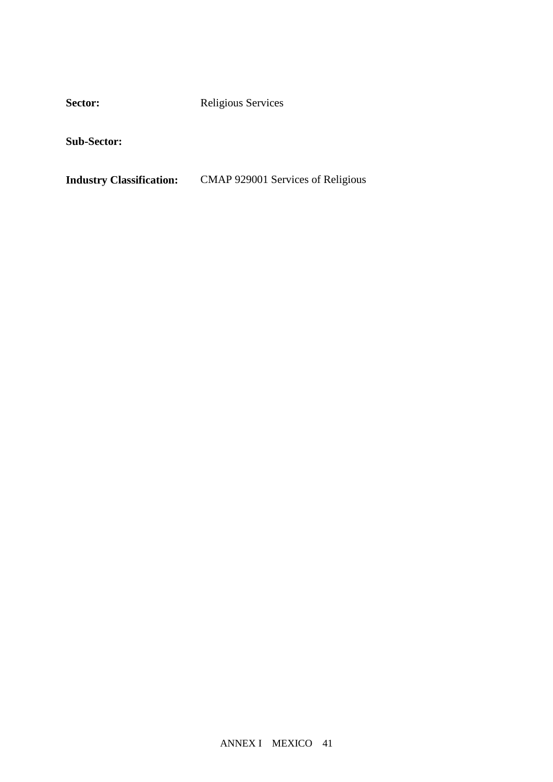Sector: Religious Services

**Sub-Sector:**

**Industry Classification:** CMAP 929001 Services of Religious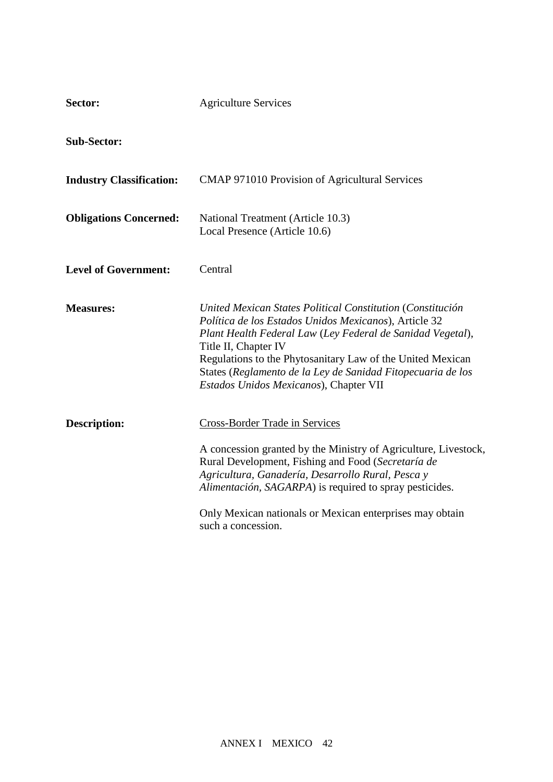| Sector:                         | <b>Agriculture Services</b>                                                                                                                                                                                                                                                                                                                                                      |
|---------------------------------|----------------------------------------------------------------------------------------------------------------------------------------------------------------------------------------------------------------------------------------------------------------------------------------------------------------------------------------------------------------------------------|
| <b>Sub-Sector:</b>              |                                                                                                                                                                                                                                                                                                                                                                                  |
| <b>Industry Classification:</b> | <b>CMAP 971010 Provision of Agricultural Services</b>                                                                                                                                                                                                                                                                                                                            |
| <b>Obligations Concerned:</b>   | National Treatment (Article 10.3)<br>Local Presence (Article 10.6)                                                                                                                                                                                                                                                                                                               |
| <b>Level of Government:</b>     | Central                                                                                                                                                                                                                                                                                                                                                                          |
| <b>Measures:</b>                | United Mexican States Political Constitution (Constitución<br>Política de los Estados Unidos Mexicanos), Article 32<br>Plant Health Federal Law (Ley Federal de Sanidad Vegetal),<br>Title II, Chapter IV<br>Regulations to the Phytosanitary Law of the United Mexican<br>States (Reglamento de la Ley de Sanidad Fitopecuaria de los<br>Estados Unidos Mexicanos), Chapter VII |
| <b>Description:</b>             | Cross-Border Trade in Services<br>A concession granted by the Ministry of Agriculture, Livestock,<br>Rural Development, Fishing and Food (Secretaría de<br>Agricultura, Ganadería, Desarrollo Rural, Pesca y<br>Alimentación, SAGARPA) is required to spray pesticides.<br>Only Mexican nationals or Mexican enterprises may obtain<br>such a concession.                        |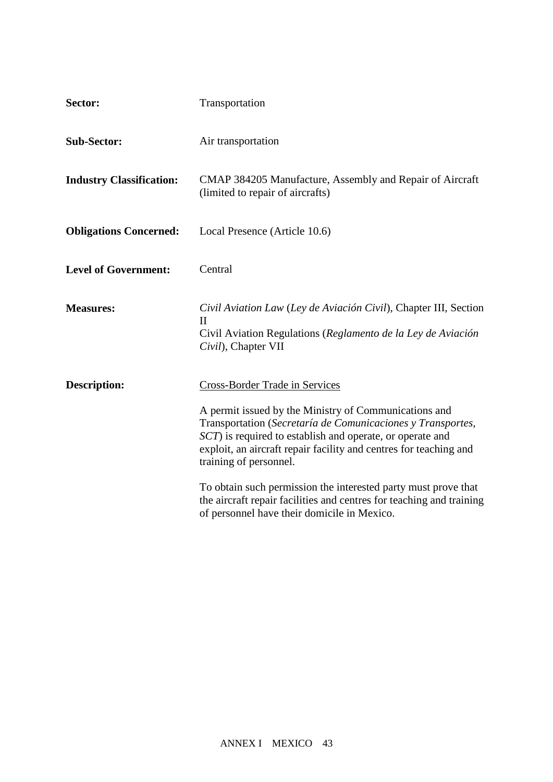| Sector:                         | Transportation                                                                                                                                                                                                                                                                                                                                                                                                                                                                                              |
|---------------------------------|-------------------------------------------------------------------------------------------------------------------------------------------------------------------------------------------------------------------------------------------------------------------------------------------------------------------------------------------------------------------------------------------------------------------------------------------------------------------------------------------------------------|
| <b>Sub-Sector:</b>              | Air transportation                                                                                                                                                                                                                                                                                                                                                                                                                                                                                          |
| <b>Industry Classification:</b> | CMAP 384205 Manufacture, Assembly and Repair of Aircraft<br>(limited to repair of aircrafts)                                                                                                                                                                                                                                                                                                                                                                                                                |
| <b>Obligations Concerned:</b>   | Local Presence (Article 10.6)                                                                                                                                                                                                                                                                                                                                                                                                                                                                               |
| <b>Level of Government:</b>     | Central                                                                                                                                                                                                                                                                                                                                                                                                                                                                                                     |
| <b>Measures:</b>                | Civil Aviation Law (Ley de Aviación Civil), Chapter III, Section<br>$\rm II$<br>Civil Aviation Regulations (Reglamento de la Ley de Aviación<br>Civil), Chapter VII                                                                                                                                                                                                                                                                                                                                         |
| <b>Description:</b>             | Cross-Border Trade in Services<br>A permit issued by the Ministry of Communications and<br>Transportation (Secretaría de Comunicaciones y Transportes,<br>SCT) is required to establish and operate, or operate and<br>exploit, an aircraft repair facility and centres for teaching and<br>training of personnel.<br>To obtain such permission the interested party must prove that<br>the aircraft repair facilities and centres for teaching and training<br>of personnel have their domicile in Mexico. |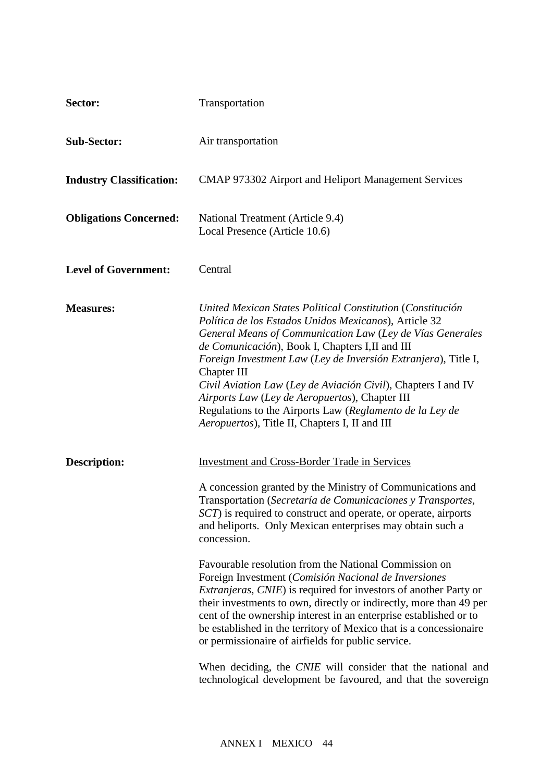| Sector:                         | Transportation                                                                                                                                                                                                                                                                                                                                                                                                                                                                                                                                                                                                                                                                                                                                                                                                                                                                                                                       |
|---------------------------------|--------------------------------------------------------------------------------------------------------------------------------------------------------------------------------------------------------------------------------------------------------------------------------------------------------------------------------------------------------------------------------------------------------------------------------------------------------------------------------------------------------------------------------------------------------------------------------------------------------------------------------------------------------------------------------------------------------------------------------------------------------------------------------------------------------------------------------------------------------------------------------------------------------------------------------------|
| <b>Sub-Sector:</b>              | Air transportation                                                                                                                                                                                                                                                                                                                                                                                                                                                                                                                                                                                                                                                                                                                                                                                                                                                                                                                   |
| <b>Industry Classification:</b> | CMAP 973302 Airport and Heliport Management Services                                                                                                                                                                                                                                                                                                                                                                                                                                                                                                                                                                                                                                                                                                                                                                                                                                                                                 |
| <b>Obligations Concerned:</b>   | National Treatment (Article 9.4)<br>Local Presence (Article 10.6)                                                                                                                                                                                                                                                                                                                                                                                                                                                                                                                                                                                                                                                                                                                                                                                                                                                                    |
| <b>Level of Government:</b>     | Central                                                                                                                                                                                                                                                                                                                                                                                                                                                                                                                                                                                                                                                                                                                                                                                                                                                                                                                              |
| <b>Measures:</b>                | United Mexican States Political Constitution (Constitución<br>Política de los Estados Unidos Mexicanos), Article 32<br>General Means of Communication Law (Ley de Vías Generales<br>de Comunicación), Book I, Chapters I, II and III<br>Foreign Investment Law (Ley de Inversión Extranjera), Title I,<br>Chapter III<br>Civil Aviation Law (Ley de Aviación Civil), Chapters I and IV<br>Airports Law (Ley de Aeropuertos), Chapter III<br>Regulations to the Airports Law (Reglamento de la Ley de<br>Aeropuertos), Title II, Chapters I, II and III                                                                                                                                                                                                                                                                                                                                                                               |
| <b>Description:</b>             | <b>Investment and Cross-Border Trade in Services</b><br>A concession granted by the Ministry of Communications and<br>Transportation (Secretaría de Comunicaciones y Transportes,<br>SCT) is required to construct and operate, or operate, airports<br>and heliports. Only Mexican enterprises may obtain such a<br>concession.<br>Favourable resolution from the National Commission on<br>Foreign Investment (Comisión Nacional de Inversiones<br><i>Extranjeras, CNIE</i> ) is required for investors of another Party or<br>their investments to own, directly or indirectly, more than 49 per<br>cent of the ownership interest in an enterprise established or to<br>be established in the territory of Mexico that is a concessionaire<br>or permissionaire of airfields for public service.<br>When deciding, the CNIE will consider that the national and<br>technological development be favoured, and that the sovereign |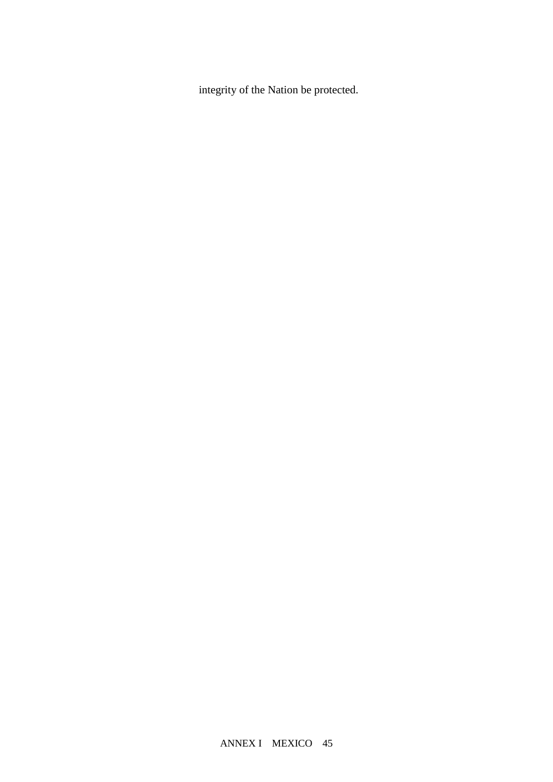integrity of the Nation be protected.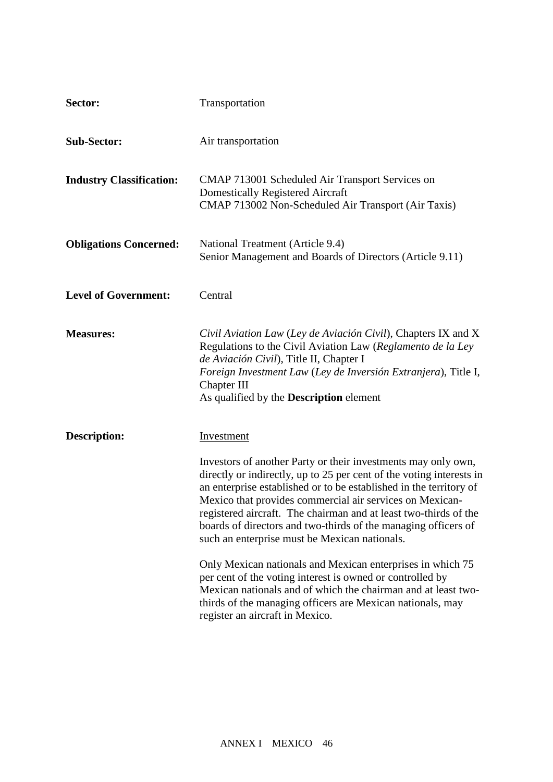| Sector:                         | Transportation                                                                                                                                                                                                                                                                                                                                                                                                                                                                                                                                                                                                                                                                                                                                                            |
|---------------------------------|---------------------------------------------------------------------------------------------------------------------------------------------------------------------------------------------------------------------------------------------------------------------------------------------------------------------------------------------------------------------------------------------------------------------------------------------------------------------------------------------------------------------------------------------------------------------------------------------------------------------------------------------------------------------------------------------------------------------------------------------------------------------------|
| <b>Sub-Sector:</b>              | Air transportation                                                                                                                                                                                                                                                                                                                                                                                                                                                                                                                                                                                                                                                                                                                                                        |
| <b>Industry Classification:</b> | CMAP 713001 Scheduled Air Transport Services on<br><b>Domestically Registered Aircraft</b><br>CMAP 713002 Non-Scheduled Air Transport (Air Taxis)                                                                                                                                                                                                                                                                                                                                                                                                                                                                                                                                                                                                                         |
| <b>Obligations Concerned:</b>   | National Treatment (Article 9.4)<br>Senior Management and Boards of Directors (Article 9.11)                                                                                                                                                                                                                                                                                                                                                                                                                                                                                                                                                                                                                                                                              |
| <b>Level of Government:</b>     | Central                                                                                                                                                                                                                                                                                                                                                                                                                                                                                                                                                                                                                                                                                                                                                                   |
| <b>Measures:</b>                | Civil Aviation Law (Ley de Aviación Civil), Chapters IX and X<br>Regulations to the Civil Aviation Law (Reglamento de la Ley<br>de Aviación Civil), Title II, Chapter I<br>Foreign Investment Law (Ley de Inversión Extranjera), Title I,<br>Chapter III<br>As qualified by the <b>Description</b> element                                                                                                                                                                                                                                                                                                                                                                                                                                                                |
| <b>Description:</b>             | Investment<br>Investors of another Party or their investments may only own,<br>directly or indirectly, up to 25 per cent of the voting interests in<br>an enterprise established or to be established in the territory of<br>Mexico that provides commercial air services on Mexican-<br>registered aircraft. The chairman and at least two-thirds of the<br>boards of directors and two-thirds of the managing officers of<br>such an enterprise must be Mexican nationals.<br>Only Mexican nationals and Mexican enterprises in which 75<br>per cent of the voting interest is owned or controlled by<br>Mexican nationals and of which the chairman and at least two-<br>thirds of the managing officers are Mexican nationals, may<br>register an aircraft in Mexico. |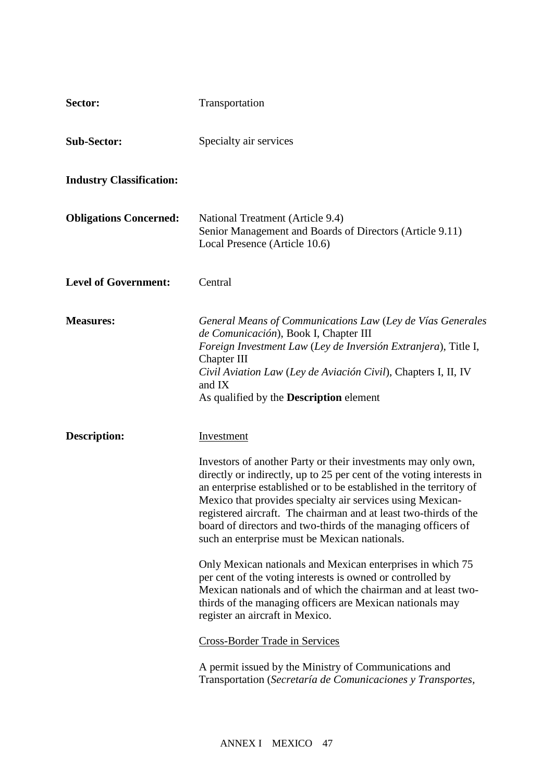| Sector:                         | Transportation                                                                                                                                                                                                                                                                                                                                                                                                                                                                                                                                                                                                                                                                                                                                                                                                                                                                                                                                     |
|---------------------------------|----------------------------------------------------------------------------------------------------------------------------------------------------------------------------------------------------------------------------------------------------------------------------------------------------------------------------------------------------------------------------------------------------------------------------------------------------------------------------------------------------------------------------------------------------------------------------------------------------------------------------------------------------------------------------------------------------------------------------------------------------------------------------------------------------------------------------------------------------------------------------------------------------------------------------------------------------|
| <b>Sub-Sector:</b>              | Specialty air services                                                                                                                                                                                                                                                                                                                                                                                                                                                                                                                                                                                                                                                                                                                                                                                                                                                                                                                             |
| <b>Industry Classification:</b> |                                                                                                                                                                                                                                                                                                                                                                                                                                                                                                                                                                                                                                                                                                                                                                                                                                                                                                                                                    |
| <b>Obligations Concerned:</b>   | National Treatment (Article 9.4)<br>Senior Management and Boards of Directors (Article 9.11)<br>Local Presence (Article 10.6)                                                                                                                                                                                                                                                                                                                                                                                                                                                                                                                                                                                                                                                                                                                                                                                                                      |
| <b>Level of Government:</b>     | Central                                                                                                                                                                                                                                                                                                                                                                                                                                                                                                                                                                                                                                                                                                                                                                                                                                                                                                                                            |
| <b>Measures:</b>                | General Means of Communications Law (Ley de Vías Generales<br>de Comunicación), Book I, Chapter III<br>Foreign Investment Law (Ley de Inversión Extranjera), Title I,<br>Chapter III<br>Civil Aviation Law (Ley de Aviación Civil), Chapters I, II, IV<br>and IX<br>As qualified by the <b>Description</b> element                                                                                                                                                                                                                                                                                                                                                                                                                                                                                                                                                                                                                                 |
| <b>Description:</b>             | <b>Investment</b><br>Investors of another Party or their investments may only own,<br>directly or indirectly, up to 25 per cent of the voting interests in<br>an enterprise established or to be established in the territory of<br>Mexico that provides specialty air services using Mexican-<br>registered aircraft. The chairman and at least two-thirds of the<br>board of directors and two-thirds of the managing officers of<br>such an enterprise must be Mexican nationals.<br>Only Mexican nationals and Mexican enterprises in which 75<br>per cent of the voting interests is owned or controlled by<br>Mexican nationals and of which the chairman and at least two-<br>thirds of the managing officers are Mexican nationals may<br>register an aircraft in Mexico.<br><b>Cross-Border Trade in Services</b><br>A permit issued by the Ministry of Communications and<br>Transportation (Secretaría de Comunicaciones y Transportes, |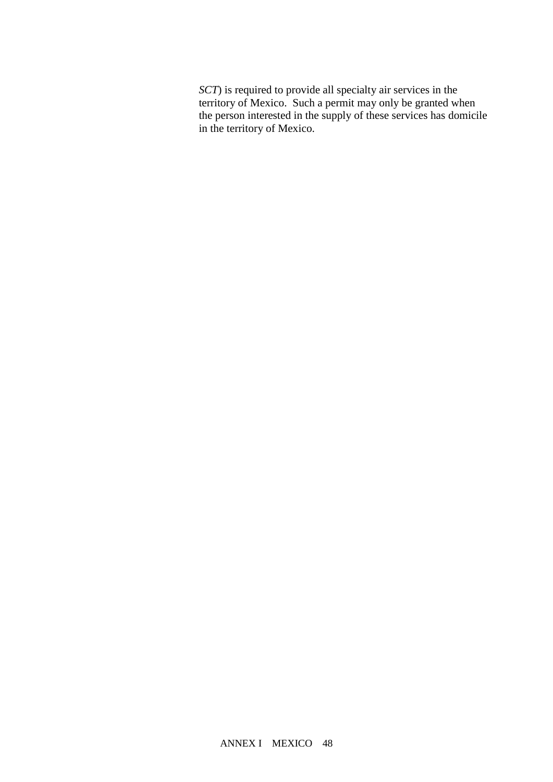*SCT*) is required to provide all specialty air services in the territory of Mexico. Such a permit may only be granted when the person interested in the supply of these services has domicile in the territory of Mexico.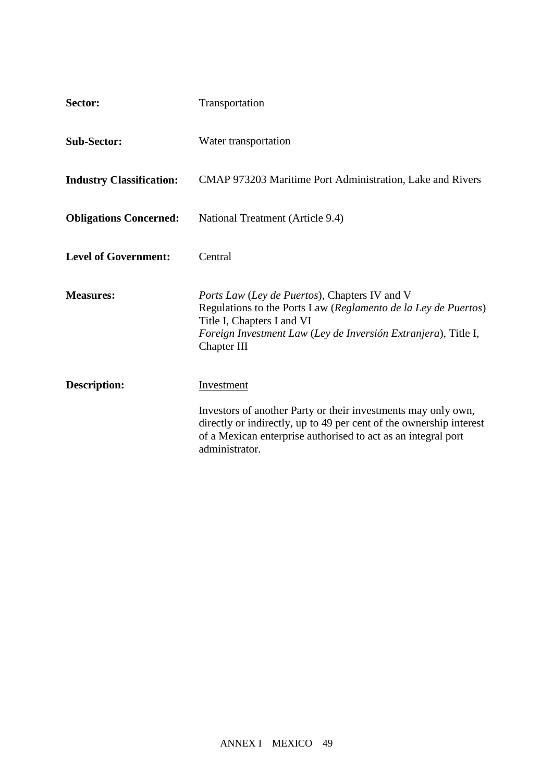| Sector:                         | Transportation                                                                                                                                                                                                                         |
|---------------------------------|----------------------------------------------------------------------------------------------------------------------------------------------------------------------------------------------------------------------------------------|
| <b>Sub-Sector:</b>              | Water transportation                                                                                                                                                                                                                   |
| <b>Industry Classification:</b> | CMAP 973203 Maritime Port Administration, Lake and Rivers                                                                                                                                                                              |
| <b>Obligations Concerned:</b>   | National Treatment (Article 9.4)                                                                                                                                                                                                       |
| <b>Level of Government:</b>     | Central                                                                                                                                                                                                                                |
| <b>Measures:</b>                | <i>Ports Law (Ley de Puertos)</i> , Chapters IV and V<br>Regulations to the Ports Law (Reglamento de la Ley de Puertos)<br>Title I, Chapters I and VI<br>Foreign Investment Law (Ley de Inversión Extranjera), Title I,<br>Chapter III |
| <b>Description:</b>             | Investment                                                                                                                                                                                                                             |
|                                 | Investors of another Party or their investments may only own,<br>directly or indirectly, up to 49 per cent of the ownership interest<br>of a Mexican enterprise authorised to act as an integral port<br>administrator.                |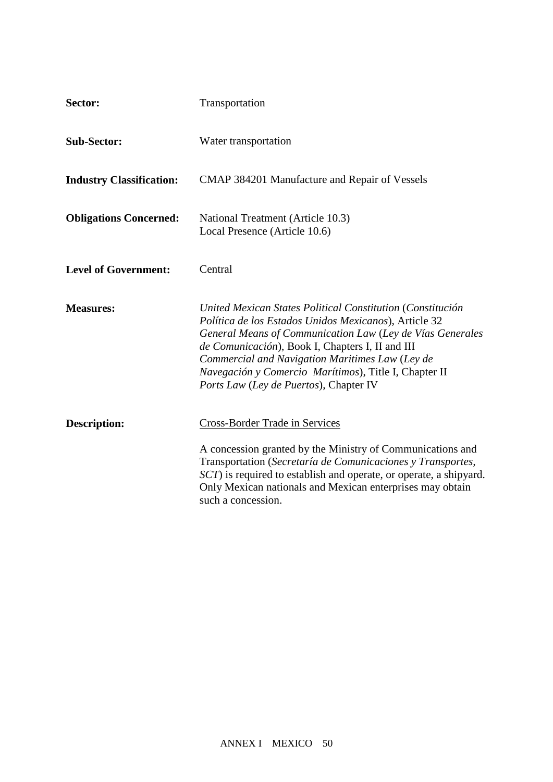| Sector:                         | Transportation                                                                                                                                                                                                                                                                                                                                                                             |
|---------------------------------|--------------------------------------------------------------------------------------------------------------------------------------------------------------------------------------------------------------------------------------------------------------------------------------------------------------------------------------------------------------------------------------------|
| <b>Sub-Sector:</b>              | Water transportation                                                                                                                                                                                                                                                                                                                                                                       |
| <b>Industry Classification:</b> | CMAP 384201 Manufacture and Repair of Vessels                                                                                                                                                                                                                                                                                                                                              |
| <b>Obligations Concerned:</b>   | National Treatment (Article 10.3)<br>Local Presence (Article 10.6)                                                                                                                                                                                                                                                                                                                         |
| <b>Level of Government:</b>     | Central                                                                                                                                                                                                                                                                                                                                                                                    |
| <b>Measures:</b>                | United Mexican States Political Constitution (Constitución<br>Política de los Estados Unidos Mexicanos), Article 32<br>General Means of Communication Law (Ley de Vías Generales<br>de Comunicación), Book I, Chapters I, II and III<br>Commercial and Navigation Maritimes Law (Ley de<br>Navegación y Comercio Marítimos), Title I, Chapter II<br>Ports Law (Ley de Puertos), Chapter IV |
| <b>Description:</b>             | <b>Cross-Border Trade in Services</b><br>A concession granted by the Ministry of Communications and<br>Transportation (Secretaría de Comunicaciones y Transportes,<br>SCT) is required to establish and operate, or operate, a shipyard.<br>Only Mexican nationals and Mexican enterprises may obtain<br>such a concession.                                                                |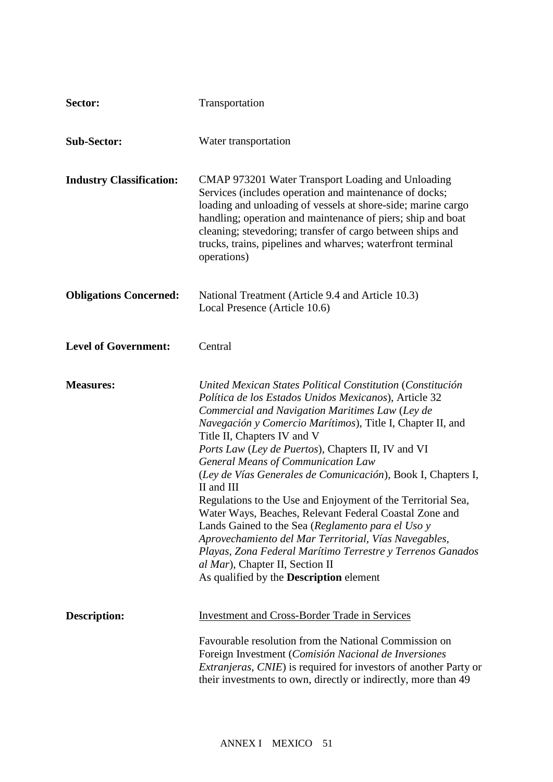| Sector:                         | Transportation                                                                                                                                                                                                                                                                                                                                                                                                                                                                                                                                                                                                                                                                                                                                                                                                                           |
|---------------------------------|------------------------------------------------------------------------------------------------------------------------------------------------------------------------------------------------------------------------------------------------------------------------------------------------------------------------------------------------------------------------------------------------------------------------------------------------------------------------------------------------------------------------------------------------------------------------------------------------------------------------------------------------------------------------------------------------------------------------------------------------------------------------------------------------------------------------------------------|
| <b>Sub-Sector:</b>              | Water transportation                                                                                                                                                                                                                                                                                                                                                                                                                                                                                                                                                                                                                                                                                                                                                                                                                     |
| <b>Industry Classification:</b> | CMAP 973201 Water Transport Loading and Unloading<br>Services (includes operation and maintenance of docks;<br>loading and unloading of vessels at shore-side; marine cargo<br>handling; operation and maintenance of piers; ship and boat<br>cleaning; stevedoring; transfer of cargo between ships and<br>trucks, trains, pipelines and wharves; waterfront terminal<br>operations)                                                                                                                                                                                                                                                                                                                                                                                                                                                    |
| <b>Obligations Concerned:</b>   | National Treatment (Article 9.4 and Article 10.3)<br>Local Presence (Article 10.6)                                                                                                                                                                                                                                                                                                                                                                                                                                                                                                                                                                                                                                                                                                                                                       |
| <b>Level of Government:</b>     | Central                                                                                                                                                                                                                                                                                                                                                                                                                                                                                                                                                                                                                                                                                                                                                                                                                                  |
| <b>Measures:</b>                | United Mexican States Political Constitution (Constitución<br>Política de los Estados Unidos Mexicanos), Article 32<br>Commercial and Navigation Maritimes Law (Ley de<br>Navegación y Comercio Marítimos), Title I, Chapter II, and<br>Title II, Chapters IV and V<br>Ports Law (Ley de Puertos), Chapters II, IV and VI<br><b>General Means of Communication Law</b><br>(Ley de Vías Generales de Comunicación), Book I, Chapters I,<br>II and III<br>Regulations to the Use and Enjoyment of the Territorial Sea,<br>Water Ways, Beaches, Relevant Federal Coastal Zone and<br>Lands Gained to the Sea (Reglamento para el Uso y<br>Aprovechamiento del Mar Territorial, Vías Navegables,<br>Playas, Zona Federal Marítimo Terrestre y Terrenos Ganados<br>al Mar), Chapter II, Section II<br>As qualified by the Description element |
| <b>Description:</b>             | <b>Investment and Cross-Border Trade in Services</b><br>Favourable resolution from the National Commission on<br>Foreign Investment (Comisión Nacional de Inversiones<br><i>Extranjeras, CNIE</i> ) is required for investors of another Party or<br>their investments to own, directly or indirectly, more than 49                                                                                                                                                                                                                                                                                                                                                                                                                                                                                                                      |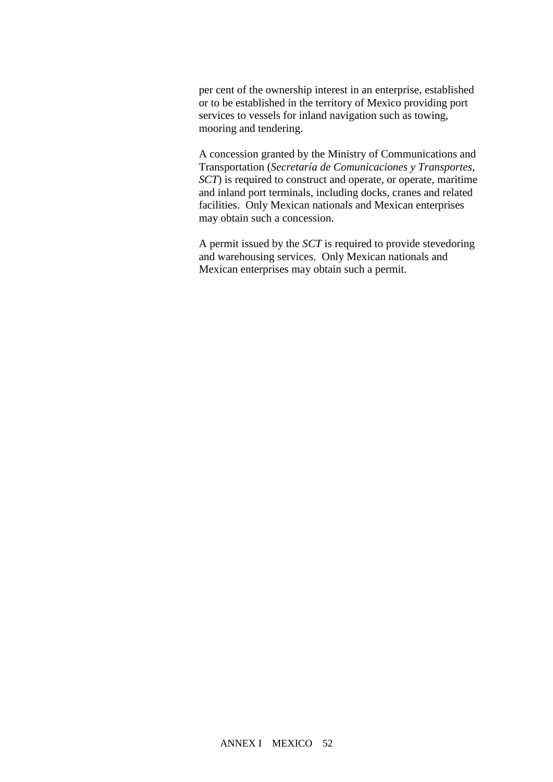per cent of the ownership interest in an enterprise, established or to be established in the territory of Mexico providing port services to vessels for inland navigation such as towing, mooring and tendering.

A concession granted by the Ministry of Communications and Transportation (*Secretaría de Comunicaciones y Transportes, SCT*) is required to construct and operate, or operate, maritime and inland port terminals, including docks, cranes and related facilities. Only Mexican nationals and Mexican enterprises may obtain such a concession.

A permit issued by the *SCT* is required to provide stevedoring and warehousing services. Only Mexican nationals and Mexican enterprises may obtain such a permit.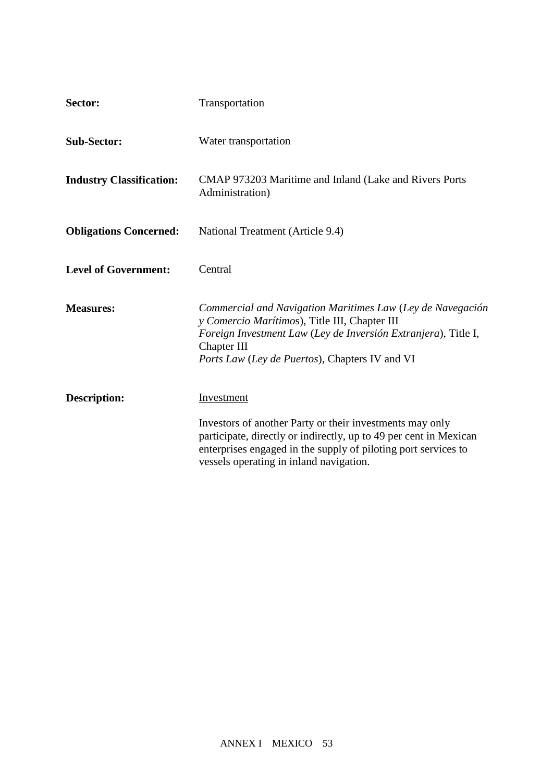| Sector:                         | Transportation                                                                                                                                                                                                                                           |
|---------------------------------|----------------------------------------------------------------------------------------------------------------------------------------------------------------------------------------------------------------------------------------------------------|
| <b>Sub-Sector:</b>              | Water transportation                                                                                                                                                                                                                                     |
| <b>Industry Classification:</b> | CMAP 973203 Maritime and Inland (Lake and Rivers Ports<br>Administration)                                                                                                                                                                                |
| <b>Obligations Concerned:</b>   | National Treatment (Article 9.4)                                                                                                                                                                                                                         |
| <b>Level of Government:</b>     | Central                                                                                                                                                                                                                                                  |
| <b>Measures:</b>                | Commercial and Navigation Maritimes Law (Ley de Navegación<br>y Comercio Marítimos), Title III, Chapter III<br>Foreign Investment Law (Ley de Inversión Extranjera), Title I,<br>Chapter III<br>Ports Law (Ley de Puertos), Chapters IV and VI           |
| <b>Description:</b>             | Investment<br>Investors of another Party or their investments may only<br>participate, directly or indirectly, up to 49 per cent in Mexican<br>enterprises engaged in the supply of piloting port services to<br>vessels operating in inland navigation. |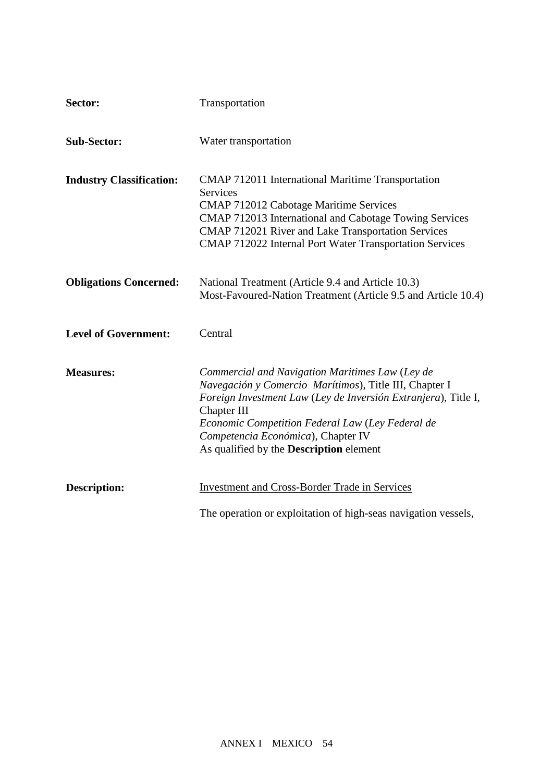| Sector:                         | Transportation                                                                                                                                                                                                                                                                                                                         |
|---------------------------------|----------------------------------------------------------------------------------------------------------------------------------------------------------------------------------------------------------------------------------------------------------------------------------------------------------------------------------------|
| <b>Sub-Sector:</b>              | Water transportation                                                                                                                                                                                                                                                                                                                   |
| <b>Industry Classification:</b> | CMAP 712011 International Maritime Transportation<br><b>Services</b><br><b>CMAP 712012 Cabotage Maritime Services</b><br>CMAP 712013 International and Cabotage Towing Services<br>CMAP 712021 River and Lake Transportation Services<br>CMAP 712022 Internal Port Water Transportation Services                                       |
| <b>Obligations Concerned:</b>   | National Treatment (Article 9.4 and Article 10.3)<br>Most-Favoured-Nation Treatment (Article 9.5 and Article 10.4)                                                                                                                                                                                                                     |
| <b>Level of Government:</b>     | Central                                                                                                                                                                                                                                                                                                                                |
| <b>Measures:</b>                | Commercial and Navigation Maritimes Law (Ley de<br>Navegación y Comercio Marítimos), Title III, Chapter I<br>Foreign Investment Law (Ley de Inversión Extranjera), Title I,<br>Chapter III<br>Economic Competition Federal Law (Ley Federal de<br>Competencia Económica), Chapter IV<br>As qualified by the <b>Description</b> element |
| <b>Description:</b>             | <b>Investment and Cross-Border Trade in Services</b><br>The operation or exploitation of high-seas navigation vessels,<br>including transport and interna $0\ 0\ 1\ 368.35\ 2C\ q(tion)$ [TJET $Q209$ ]                                                                                                                                |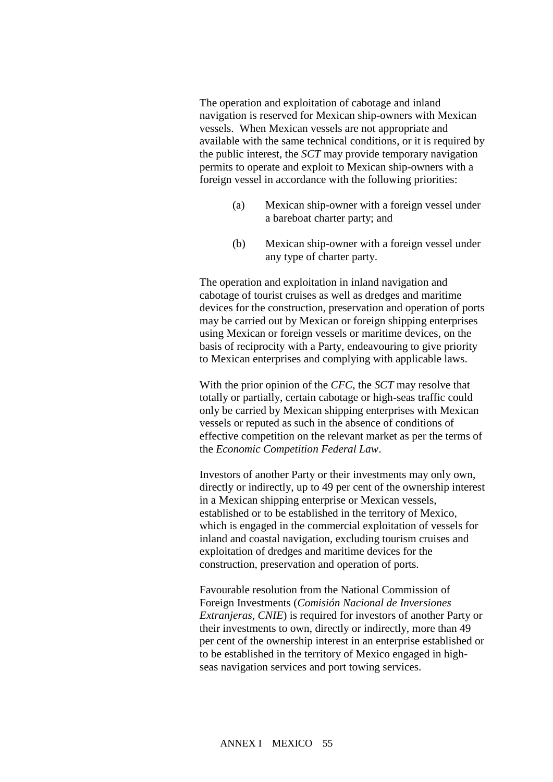The operation and exploitation of cabotage and inland navigation is reserved for Mexican ship-owners with Mexican vessels. When Mexican vessels are not appropriate and available with the same technical conditions, or it is required by the public interest, the *SCT* may provide temporary navigation permits to operate and exploit to Mexican ship-owners with a foreign vessel in accordance with the following priorities:

- (a) Mexican ship-owner with a foreign vessel under a bareboat charter party; and
- (b) Mexican ship-owner with a foreign vessel under any type of charter party.

The operation and exploitation in inland navigation and cabotage of tourist cruises as well as dredges and maritime devices for the construction, preservation and operation of ports may be carried out by Mexican or foreign shipping enterprises using Mexican or foreign vessels or maritime devices, on the basis of reciprocity with a Party, endeavouring to give priority to Mexican enterprises and complying with applicable laws.

With the prior opinion of the *CFC*, the *SCT* may resolve that totally or partially, certain cabotage or high-seas traffic could only be carried by Mexican shipping enterprises with Mexican vessels or reputed as such in the absence of conditions of effective competition on the relevant market as per the terms of the *Economic Competition Federal Law*.

Investors of another Party or their investments may only own, directly or indirectly, up to 49 per cent of the ownership interest in a Mexican shipping enterprise or Mexican vessels, established or to be established in the territory of Mexico, which is engaged in the commercial exploitation of vessels for inland and coastal navigation, excluding tourism cruises and exploitation of dredges and maritime devices for the construction, preservation and operation of ports.

Favourable resolution from the National Commission of Foreign Investments (*Comisión Nacional de Inversiones Extranjeras, CNIE*) is required for investors of another Party or their investments to own, directly or indirectly, more than 49 per cent of the ownership interest in an enterprise established or to be established in the territory of Mexico engaged in highseas navigation services and port towing services.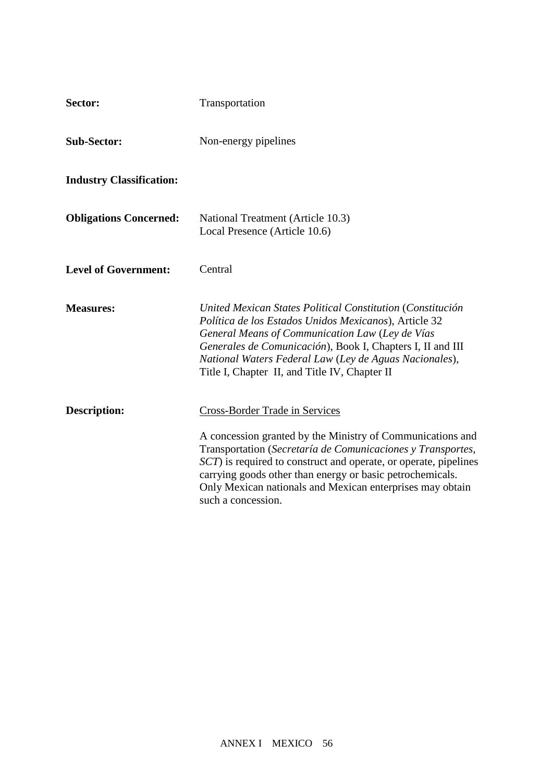| Sector:                         | Transportation                                                                                                                                                                                                                                                                                                                                  |
|---------------------------------|-------------------------------------------------------------------------------------------------------------------------------------------------------------------------------------------------------------------------------------------------------------------------------------------------------------------------------------------------|
| <b>Sub-Sector:</b>              | Non-energy pipelines                                                                                                                                                                                                                                                                                                                            |
| <b>Industry Classification:</b> |                                                                                                                                                                                                                                                                                                                                                 |
| <b>Obligations Concerned:</b>   | National Treatment (Article 10.3)<br>Local Presence (Article 10.6)                                                                                                                                                                                                                                                                              |
| <b>Level of Government:</b>     | Central                                                                                                                                                                                                                                                                                                                                         |
| <b>Measures:</b>                | United Mexican States Political Constitution (Constitución<br>Política de los Estados Unidos Mexicanos), Article 32<br>General Means of Communication Law (Ley de Vías<br>Generales de Comunicación), Book I, Chapters I, II and III<br>National Waters Federal Law (Ley de Aguas Nacionales),<br>Title I, Chapter II, and Title IV, Chapter II |
| <b>Description:</b>             | Cross-Border Trade in Services<br>A concession granted by the Ministry of Communications and                                                                                                                                                                                                                                                    |
|                                 | Transportation (Secretaría de Comunicaciones y Transportes,<br>SCT) is required to construct and operate, or operate, pipelines<br>carrying goods other than energy or basic petrochemicals.<br>Only Mexican nationals and Mexican enterprises may obtain<br>such a concession.                                                                 |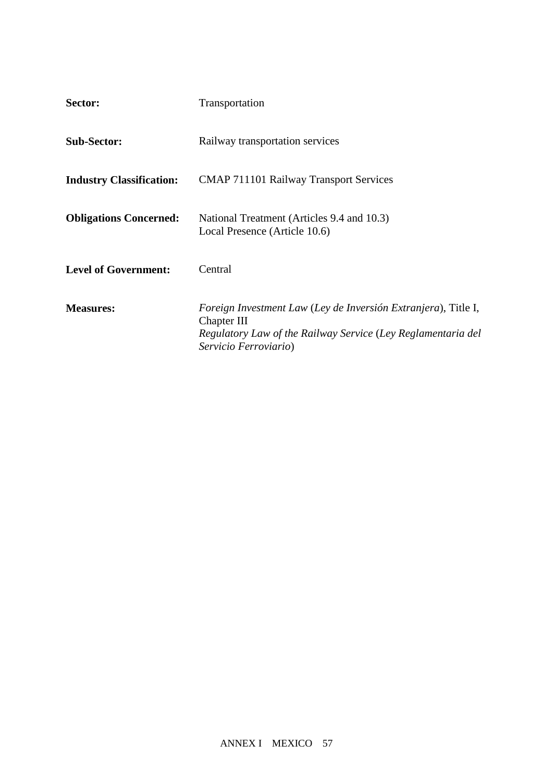| Sector:                         | Transportation                                                                                                                                                         |
|---------------------------------|------------------------------------------------------------------------------------------------------------------------------------------------------------------------|
| <b>Sub-Sector:</b>              | Railway transportation services                                                                                                                                        |
| <b>Industry Classification:</b> | <b>CMAP 711101 Railway Transport Services</b>                                                                                                                          |
| <b>Obligations Concerned:</b>   | National Treatment (Articles 9.4 and 10.3)<br>Local Presence (Article 10.6)                                                                                            |
| <b>Level of Government:</b>     | Central                                                                                                                                                                |
| <b>Measures:</b>                | Foreign Investment Law (Ley de Inversión Extranjera), Title I,<br>Chapter III<br>Regulatory Law of the Railway Service (Ley Reglamentaria del<br>Servicio Ferroviario) |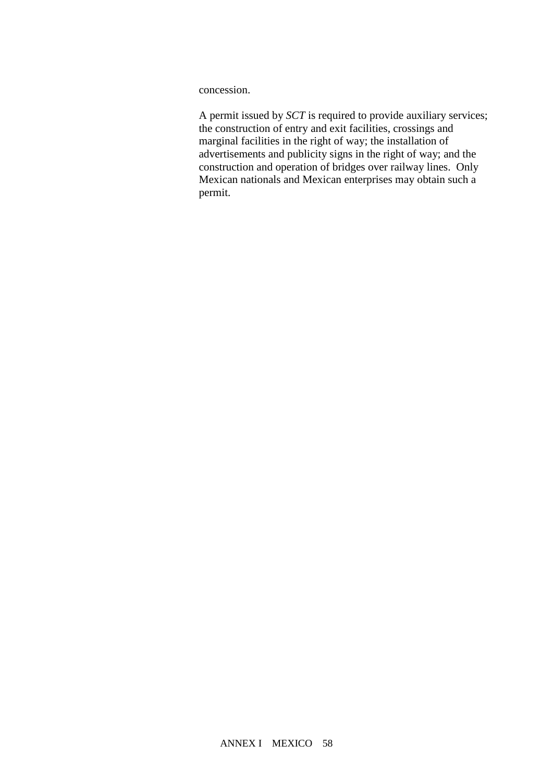concession.

A permit issued by *SCT* is required to provide auxiliary services; the construction of entry and exit facilities, crossings and marginal facilities in the right of way; the installation of advertisements and publicity signs in the right of way; and the construction and operation of bridges over railway lines. Only Mexican nationals and Mexican enterprises may obtain such a permit.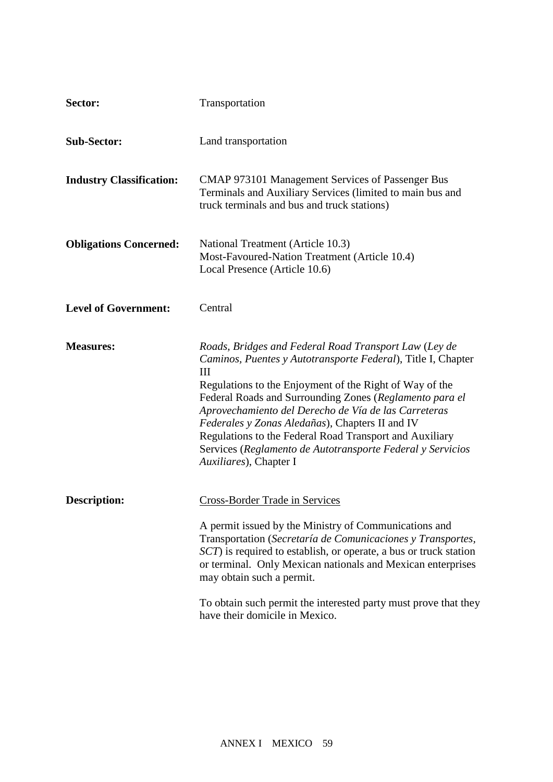| Sector:                         | Transportation                                                                                                                                                                                                                                                                                                                                                                                                                                                                                                   |
|---------------------------------|------------------------------------------------------------------------------------------------------------------------------------------------------------------------------------------------------------------------------------------------------------------------------------------------------------------------------------------------------------------------------------------------------------------------------------------------------------------------------------------------------------------|
| <b>Sub-Sector:</b>              | Land transportation                                                                                                                                                                                                                                                                                                                                                                                                                                                                                              |
| <b>Industry Classification:</b> | <b>CMAP 973101 Management Services of Passenger Bus</b><br>Terminals and Auxiliary Services (limited to main bus and<br>truck terminals and bus and truck stations)                                                                                                                                                                                                                                                                                                                                              |
| <b>Obligations Concerned:</b>   | National Treatment (Article 10.3)<br>Most-Favoured-Nation Treatment (Article 10.4)<br>Local Presence (Article 10.6)                                                                                                                                                                                                                                                                                                                                                                                              |
| <b>Level of Government:</b>     | Central                                                                                                                                                                                                                                                                                                                                                                                                                                                                                                          |
| <b>Measures:</b>                | Roads, Bridges and Federal Road Transport Law (Ley de<br>Caminos, Puentes y Autotransporte Federal), Title I, Chapter<br>III<br>Regulations to the Enjoyment of the Right of Way of the<br>Federal Roads and Surrounding Zones (Reglamento para el<br>Aprovechamiento del Derecho de Vía de las Carreteras<br>Federales y Zonas Aledañas), Chapters II and IV<br>Regulations to the Federal Road Transport and Auxiliary<br>Services (Reglamento de Autotransporte Federal y Servicios<br>Auxiliares), Chapter I |
| <b>Description:</b>             | <b>Cross-Border Trade in Services</b><br>A permit issued by the Ministry of Communications and<br>Transportation (Secretaría de Comunicaciones y Transportes,<br>SCT) is required to establish, or operate, a bus or truck station<br>or terminal. Only Mexican nationals and Mexican enterprises<br>may obtain such a permit.<br>To obtain such permit the interested party must prove that they<br>have their domicile in Mexico.                                                                              |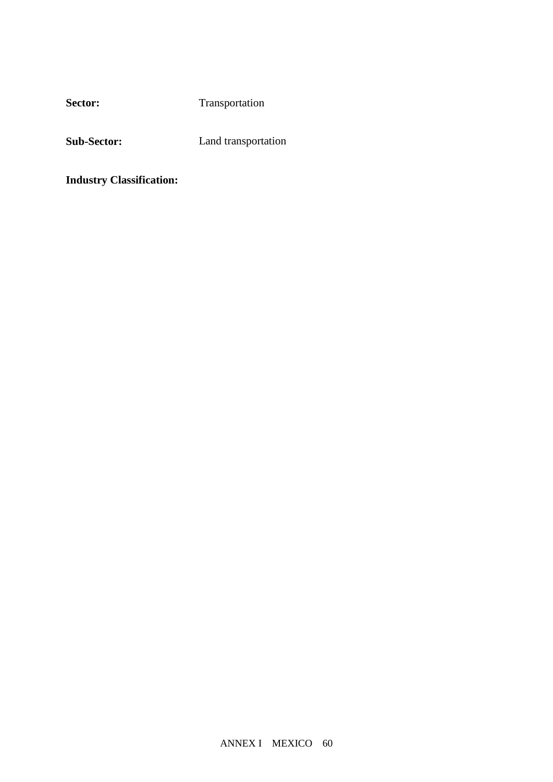Sector: Transportation

**Sub-Sector:** Land transportation

**Industry Classification:**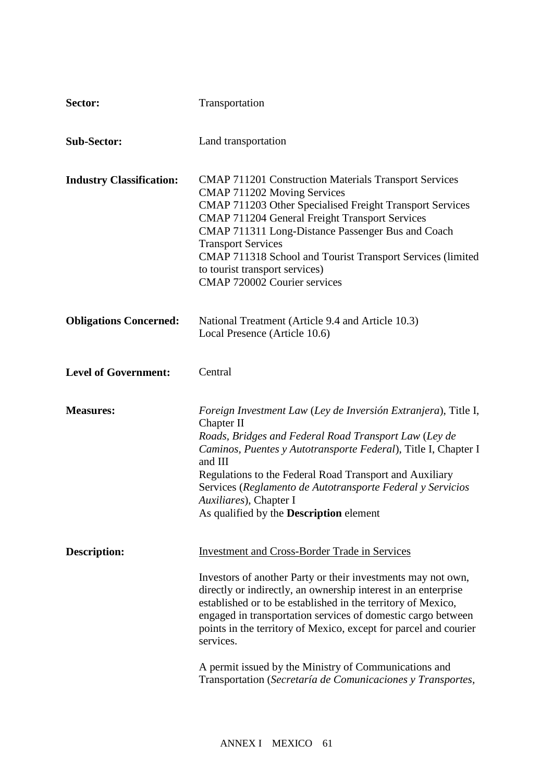| Sector:                         | Transportation                                                                                                                                                                                                                                                                                                                                                                                                                                                                                                                  |
|---------------------------------|---------------------------------------------------------------------------------------------------------------------------------------------------------------------------------------------------------------------------------------------------------------------------------------------------------------------------------------------------------------------------------------------------------------------------------------------------------------------------------------------------------------------------------|
| <b>Sub-Sector:</b>              | Land transportation                                                                                                                                                                                                                                                                                                                                                                                                                                                                                                             |
| <b>Industry Classification:</b> | <b>CMAP 711201 Construction Materials Transport Services</b><br>CMAP 711202 Moving Services<br>CMAP 711203 Other Specialised Freight Transport Services<br><b>CMAP 711204 General Freight Transport Services</b><br>CMAP 711311 Long-Distance Passenger Bus and Coach<br><b>Transport Services</b><br>CMAP 711318 School and Tourist Transport Services (limited<br>to tourist transport services)<br><b>CMAP 720002 Courier services</b>                                                                                       |
| <b>Obligations Concerned:</b>   | National Treatment (Article 9.4 and Article 10.3)<br>Local Presence (Article 10.6)                                                                                                                                                                                                                                                                                                                                                                                                                                              |
| <b>Level of Government:</b>     | Central                                                                                                                                                                                                                                                                                                                                                                                                                                                                                                                         |
| <b>Measures:</b>                | Foreign Investment Law (Ley de Inversión Extranjera), Title I,<br>Chapter II<br>Roads, Bridges and Federal Road Transport Law (Ley de<br>Caminos, Puentes y Autotransporte Federal), Title I, Chapter I<br>and III<br>Regulations to the Federal Road Transport and Auxiliary<br>Services (Reglamento de Autotransporte Federal y Servicios<br>Auxiliares), Chapter I<br>As qualified by the Description element                                                                                                                |
| Description:                    | <b>Investment and Cross-Border Trade in Services</b><br>Investors of another Party or their investments may not own,<br>directly or indirectly, an ownership interest in an enterprise<br>established or to be established in the territory of Mexico,<br>engaged in transportation services of domestic cargo between<br>points in the territory of Mexico, except for parcel and courier<br>services.<br>A permit issued by the Ministry of Communications and<br>Transportation (Secretaría de Comunicaciones y Transportes, |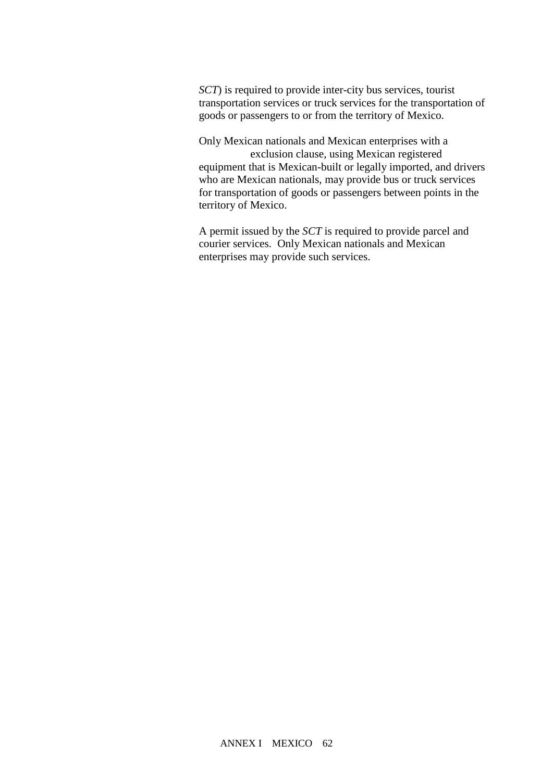*SCT*) is required to provide inter-city bus services, tourist transportation services or truck services for the transportation of goods or passengers to or from the territory of Mexico.

Only Mexican nationals and Mexican enterprises with a exclusion clause, using Mexican registered

equipment that is Mexican-built or legally imported, and drivers who are Mexican nationals, may provide bus or truck services for transportation of goods or passengers between points in the territory of Mexico.

A permit issued by the *SCT* is required to provide parcel and courier services. Only Mexican nationals and Mexican enterprises may provide such services.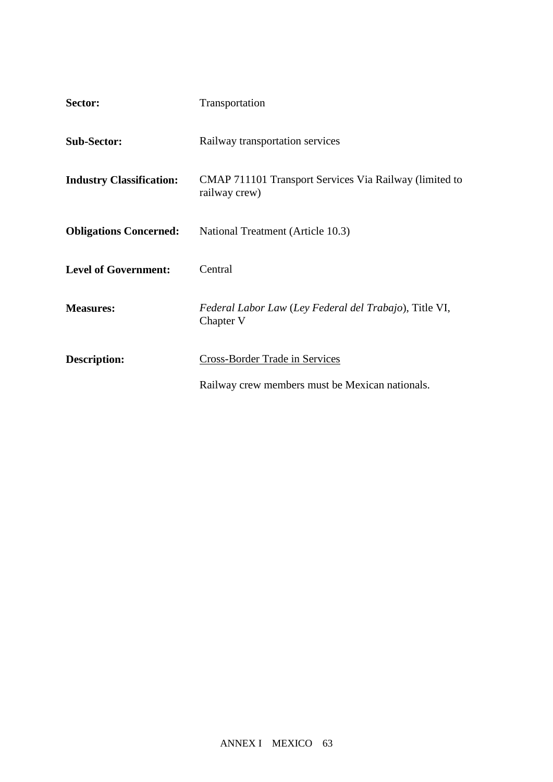| Sector:                         | Transportation                                                          |
|---------------------------------|-------------------------------------------------------------------------|
| <b>Sub-Sector:</b>              | Railway transportation services                                         |
| <b>Industry Classification:</b> | CMAP 711101 Transport Services Via Railway (limited to<br>railway crew) |
| <b>Obligations Concerned:</b>   | National Treatment (Article 10.3)                                       |
| <b>Level of Government:</b>     | Central                                                                 |
| <b>Measures:</b>                | Federal Labor Law (Ley Federal del Trabajo), Title VI,<br>Chapter V     |
| <b>Description:</b>             | Cross-Border Trade in Services                                          |
|                                 | Railway crew members must be Mexican nationals.                         |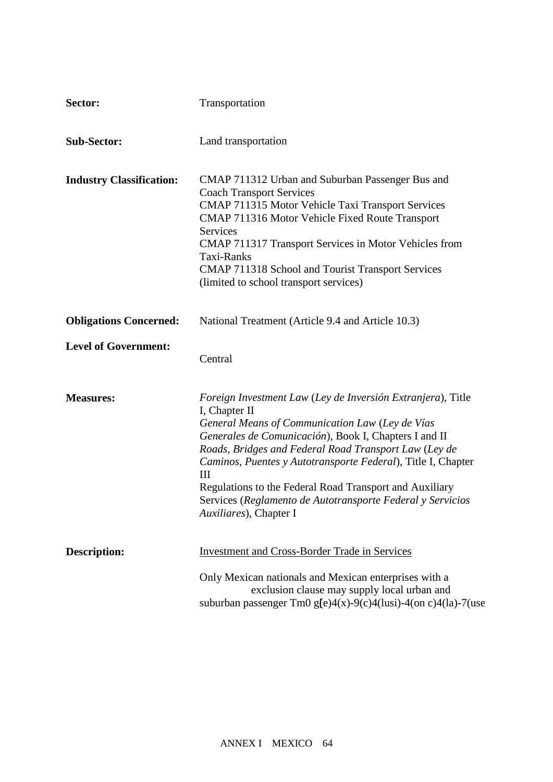| Sector:                         | Transportation                                                                                                                                                                                                                                                                                                                                                                                                                                                              |
|---------------------------------|-----------------------------------------------------------------------------------------------------------------------------------------------------------------------------------------------------------------------------------------------------------------------------------------------------------------------------------------------------------------------------------------------------------------------------------------------------------------------------|
| <b>Sub-Sector:</b>              | Land transportation                                                                                                                                                                                                                                                                                                                                                                                                                                                         |
| <b>Industry Classification:</b> | CMAP 711312 Urban and Suburban Passenger Bus and<br><b>Coach Transport Services</b><br>CMAP 711315 Motor Vehicle Taxi Transport Services<br>CMAP 711316 Motor Vehicle Fixed Route Transport<br><b>Services</b><br>CMAP 711317 Transport Services in Motor Vehicles from<br>Taxi-Ranks<br>CMAP 711318 School and Tourist Transport Services<br>(limited to school transport services)                                                                                        |
| <b>Obligations Concerned:</b>   | National Treatment (Article 9.4 and Article 10.3)                                                                                                                                                                                                                                                                                                                                                                                                                           |
| <b>Level of Government:</b>     | Central                                                                                                                                                                                                                                                                                                                                                                                                                                                                     |
| <b>Measures:</b>                | Foreign Investment Law (Ley de Inversión Extranjera), Title<br>I, Chapter II<br>General Means of Communication Law (Ley de Vías<br>Generales de Comunicación), Book I, Chapters I and II<br>Roads, Bridges and Federal Road Transport Law (Ley de<br>Caminos, Puentes y Autotransporte Federal), Title I, Chapter<br>III<br>Regulations to the Federal Road Transport and Auxiliary<br>Services (Reglamento de Autotransporte Federal y Servicios<br>Auxiliares), Chapter I |
| <b>Description:</b>             | <b>Investment and Cross-Border Trade in Services</b><br>Only Mexican nationals and Mexican enterprises with a<br>exclusion clause may supply local urban and                                                                                                                                                                                                                                                                                                                |
|                                 | suburban passenger Tm0 g[e)4(x)-9(c)4(lusi)-4(on c)4(la)-7(use                                                                                                                                                                                                                                                                                                                                                                                                              |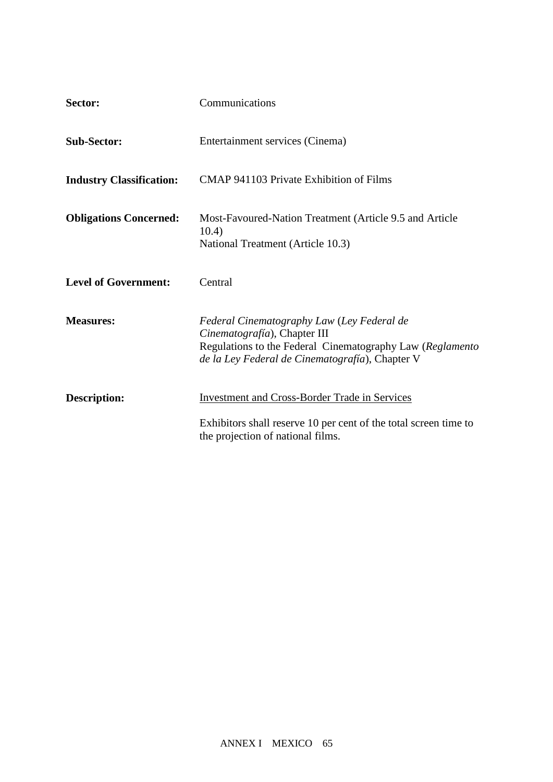| Sector:                         | Communications                                                                                                                                                                             |
|---------------------------------|--------------------------------------------------------------------------------------------------------------------------------------------------------------------------------------------|
| <b>Sub-Sector:</b>              | Entertainment services (Cinema)                                                                                                                                                            |
| <b>Industry Classification:</b> | CMAP 941103 Private Exhibition of Films                                                                                                                                                    |
| <b>Obligations Concerned:</b>   | Most-Favoured-Nation Treatment (Article 9.5 and Article<br>10.4)<br>National Treatment (Article 10.3)                                                                                      |
| <b>Level of Government:</b>     | Central                                                                                                                                                                                    |
| <b>Measures:</b>                | Federal Cinematography Law (Ley Federal de<br>Cinematografía), Chapter III<br>Regulations to the Federal Cinematography Law (Reglamento<br>de la Ley Federal de Cinematografía), Chapter V |
| <b>Description:</b>             | <b>Investment and Cross-Border Trade in Services</b>                                                                                                                                       |
|                                 | Exhibitors shall reserve 10 per cent of the total screen time to<br>the projection of national films.                                                                                      |